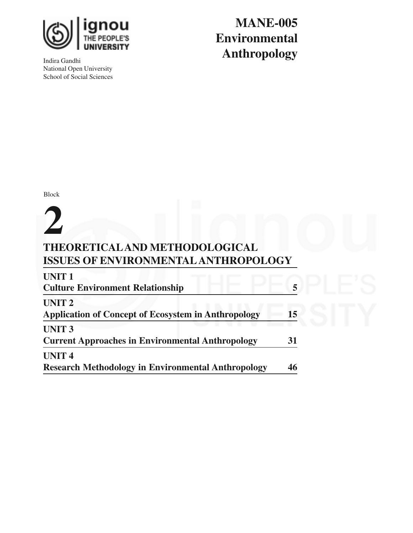

Indira Gandhi National Open University School of Social Sciences

**MANE-005 Environmental Anthropology**

Block

# **THEORETICALAND METHODOLOGICAL ISSUES OF ENVIRONMENTALANTHROPOLOGY 2**

| <b>UNIT1</b>                                               |    |  |
|------------------------------------------------------------|----|--|
| <b>Culture Environment Relationship</b>                    |    |  |
| <b>UNIT 2</b>                                              |    |  |
| <b>Application of Concept of Ecosystem in Anthropology</b> | 15 |  |
| <b>UNIT 3</b>                                              |    |  |
| <b>Current Approaches in Environmental Anthropology</b>    | 31 |  |
| <b>UNIT4</b>                                               |    |  |
| <b>Research Methodology in Environmental Anthropology</b>  | 46 |  |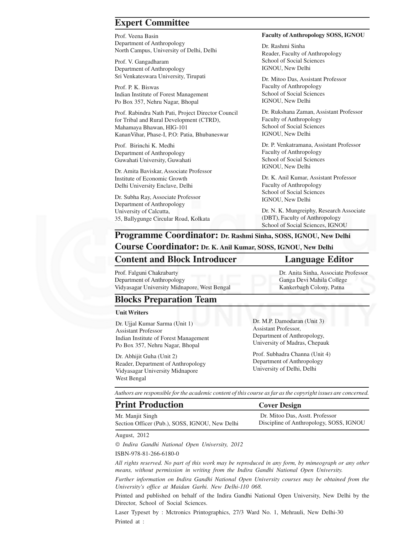### **Expert Committee**

Prof. Veena Basin Department of Anthropology North Campus, University of Delhi, Delhi

Prof. V. Gangadharam Department of Anthropology Sri Venkateswara University, Tirupati

Prof. P. K. Biswas Indian Institute of Forest Management Po Box 357, Nehru Nagar, Bhopal

Prof. Rabindra Nath Pati, Project Director Council for Tribal and Rural Development (CTRD), Mahamaya Bhawan, HIG-101 KananVihar, Phase-I, P.O: Patia, Bhubaneswar

Prof. Birinchi K. Medhi Department of Anthropology Guwahati University, Guwahati

Dr. Amita Baviskar, Associate Professor Institute of Economic Growth Delhi University Enclave, Delhi

Dr. Subha Ray, Associate Professor Department of Anthropology University of Calcutta, 35, Ballygunge Circular Road, Kolkata

#### **Faculty of Anthropology SOSS, IGNOU**

Dr. Rashmi Sinha Reader, Faculty of Anthropology School of Social Sciences IGNOU, New Delhi

Dr. Mitoo Das, Assistant Professor Faculty of Anthropology School of Social Sciences IGNOU, New Delhi

Dr. Rukshana Zaman, Assistant Professor Faculty of Anthropology School of Social Sciences IGNOU, New Delhi

Dr. P. Venkatramana, Assistant Professor Faculty of Anthropology School of Social Sciences IGNOU, New Delhi

Dr. K. Anil Kumar, Assistant Professor Faculty of Anthropology School of Social Sciences IGNOU, New Delhi

Dr. N. K. Mungreiphy, Research Associate (DBT), Faculty of Anthropology School of Social Sciences, IGNOU

# **Programme Coordinator: Dr. Rashmi Sinha, SOSS, IGNOU, New Delhi**

### **Course Coordinator: Dr. K. Anil Kumar, SOSS, IGNOU, New Delhi**

#### **Content and Block Introducer Language Editor**

Prof. Falguni Chakrabarty Department of Anthropology Vidyasagar University Midnapore, West Bengal

Dr. Anita Sinha, Associate Professor Ganga Devi Mahila College Kankerbagh Colony, Patna

### **Blocks Preparation Team**

#### **Unit Writers**

Dr. Ujjal Kumar Sarma (Unit 1) Assistant Professor Indian Institute of Forest Management Po Box 357, Nehru Nagar, Bhopal

Dr. Abhijit Guha (Unit 2) Reader, Department of Anthropology Vidyasagar University Midnapore West Bengal

Dr. M.P. Damodaran (Unit 3) Assistant Professor, Department of Anthropology, University of Madras, Chepauk

Prof. Subhadra Channa (Unit 4) Department of Anthropology University of Delhi, Delhi

*Authors are responsible for the academic content of this course as far as the copyright issues are concerned.*

| <b>Print Production</b>                        | <b>Cover Design</b>                     |
|------------------------------------------------|-----------------------------------------|
| Mr. Manjit Singh                               | Dr. Mitoo Das, Asstt. Professor         |
| Section Officer (Pub.), SOSS, IGNOU, New Delhi | Discipline of Anthropology, SOSS, IGNOU |

August, 2012

 *Indira Gandhi National Open University, 2012*

ISBN-978-81-266-6180-0

*All rights reserved. No part of this work may be reproduced in any form, by mimeograph or any other means, without permission in writing from the Indira Gandhi National Open University.*

*Further information on Indira Gandhi National Open University courses may be obtained from the University's office at Maidan Garhi. New Delhi-110 068.*

Printed and published on behalf of the Indira Gandhi National Open University, New Delhi by the Director, School of Social Sciences.

Laser Typeset by : Mctronics Printographics, 27/3 Ward No. 1, Mehrauli, New Delhi-30 Printed at :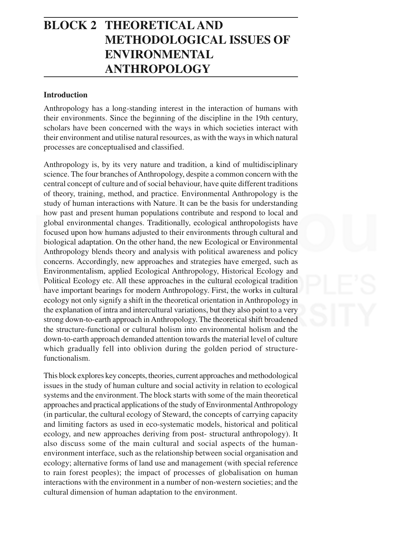# **BLOCK 2 THEORETICAL AND METHODOLOGICAL ISSUES OF ENVIRONMENTAL ANTHROPOLOGY**

#### **Introduction**

Anthropology has a long-standing interest in the interaction of humans with their environments. Since the beginning of the discipline in the 19th century, scholars have been concerned with the ways in which societies interact with their environment and utilise natural resources, as with the ways in which natural processes are conceptualised and classified.

Anthropology is, by its very nature and tradition, a kind of multidisciplinary science. The four branches of Anthropology, despite a common concern with the central concept of culture and of social behaviour, have quite different traditions of theory, training, method, and practice. Environmental Anthropology is the study of human interactions with Nature. It can be the basis for understanding how past and present human populations contribute and respond to local and global environmental changes. Traditionally, ecological anthropologists have focused upon how humans adjusted to their environments through cultural and biological adaptation. On the other hand, the new Ecological or Environmental Anthropology blends theory and analysis with political awareness and policy concerns. Accordingly, new approaches and strategies have emerged, such as Environmentalism, applied Ecological Anthropology, Historical Ecology and Political Ecology etc. All these approaches in the cultural ecological tradition have important bearings for modern Anthropology. First, the works in cultural ecology not only signify a shift in the theoretical orientation in Anthropology in the explanation of intra and intercultural variations, but they also point to a very strong down-to-earth approach in Anthropology. The theoretical shift broadened the structure-functional or cultural holism into environmental holism and the down-to-earth approach demanded attention towards the material level of culture which gradually fell into oblivion during the golden period of structurefunctionalism.

This block explores key concepts, theories, current approaches and methodological issues in the study of human culture and social activity in relation to ecological systems and the environment. The block starts with some of the main theoretical approaches and practical applications of the study of Environmental Anthropology (in particular, the cultural ecology of Steward, the concepts of carrying capacity and limiting factors as used in eco-systematic models, historical and political ecology, and new approaches deriving from post- structural anthropology). It also discuss some of the main cultural and social aspects of the humanenvironment interface, such as the relationship between social organisation and ecology; alternative forms of land use and management (with special reference to rain forest peoples); the impact of processes of globalisation on human interactions with the environment in a number of non-western societies; and the cultural dimension of human adaptation to the environment.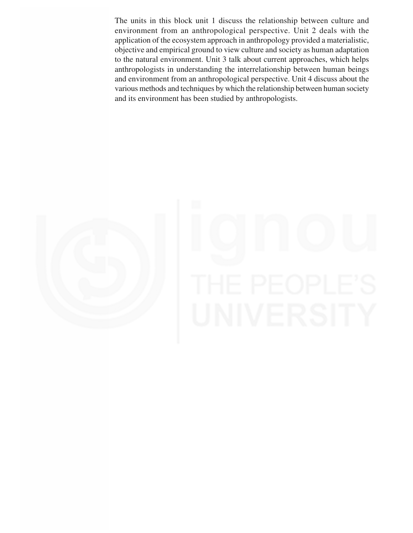The units in this block unit 1 discuss the relationship between culture and environment from an anthropological perspective. Unit 2 deals with the application of the ecosystem approach in anthropology provided a materialistic, objective and empirical ground to view culture and society as human adaptation to the natural environment. Unit 3 talk about current approaches, which helps anthropologists in understanding the interrelationship between human beings and environment from an anthropological perspective. Unit 4 discuss about the various methods and techniques by which the relationship between human society and its environment has been studied by anthropologists.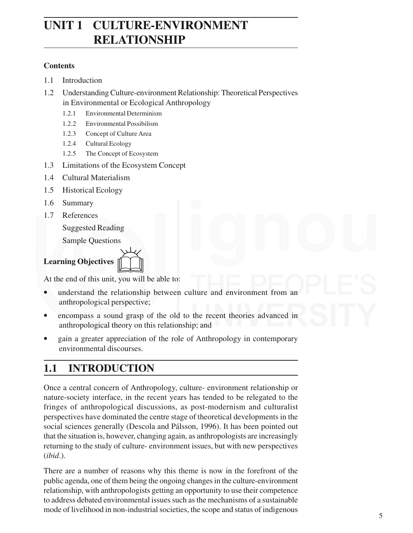# **UNIT 1 CULTURE-ENVIRONMENT RELATIONSHIP**

### **Contents**

- 1.1 Introduction
- 1.2 Understanding Culture-environment Relationship: Theoretical Perspectives in Environmental or Ecological Anthropology
	- 1.2.1 Environmental Determinism
	- 1.2.2 Environmental Possibilism
	- 1.2.3 Concept of Culture Area
	- 1.2.4 Cultural Ecology
	- 1.2.5 The Concept of Ecosystem
- 1.3 Limitations of the Ecosystem Concept
- 1.4 Cultural Materialism
- 1.5 Historical Ecology
- 1.6 Summary
- 1.7 References

Suggested Reading

Sample Questions

# **Learning Objectives** &

At the end of this unit, you will be able to:

- understand the relationship between culture and environment from an anthropological perspective;
- encompass a sound grasp of the old to the recent theories advanced in anthropological theory on this relationship; and
- gain a greater appreciation of the role of Anthropology in contemporary environmental discourses.

# **1.1 INTRODUCTION**

Once a central concern of Anthropology, culture- environment relationship or nature-society interface, in the recent years has tended to be relegated to the fringes of anthropological discussions, as post-modernism and culturalist perspectives have dominated the centre stage of theoretical developments in the social sciences generally (Descola and Pálsson, 1996). It has been pointed out that the situation is, however, changing again, as anthropologists are increasingly returning to the study of culture- environment issues, but with new perspectives (*ibid*.).

There are a number of reasons why this theme is now in the forefront of the public agenda, one of them being the ongoing changes in the culture-environment relationship, with anthropologists getting an opportunity to use their competence to address debated environmental issues such as the mechanisms of a sustainable mode of livelihood in non-industrial societies, the scope and status of indigenous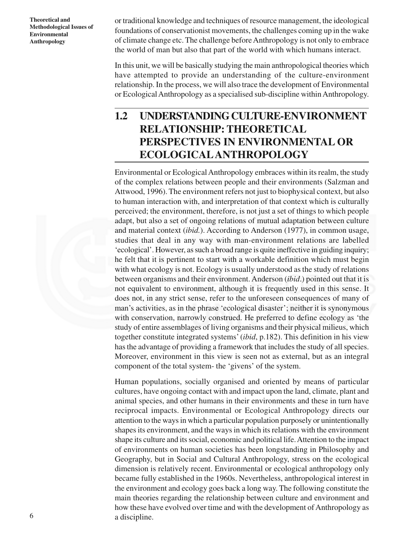or traditional knowledge and techniques of resource management, the ideological foundations of conservationist movements, the challenges coming up in the wake of climate change etc. The challenge before Anthropology is not only to embrace the world of man but also that part of the world with which humans interact.

In this unit, we will be basically studying the main anthropological theories which have attempted to provide an understanding of the culture-environment relationship. In the process, we will also trace the development of Environmental or Ecological Anthropology as a specialised sub-discipline within Anthropology.

# **1.2 UNDERSTANDING CULTURE-ENVIRONMENT RELATIONSHIP: THEORETICAL PERSPECTIVES IN ENVIRONMENTAL OR ECOLOGICALANTHROPOLOGY**

Environmental or Ecological Anthropology embraces within its realm, the study of the complex relations between people and their environments (Salzman and Attwood, 1996). The environment refers not just to biophysical context, but also to human interaction with, and interpretation of that context which is culturally perceived; the environment, therefore, is not just a set of things to which people adapt, but also a set of ongoing relations of mutual adaptation between culture and material context (*ibid.*). According to Anderson (1977), in common usage, studies that deal in any way with man-environment relations are labelled 'ecological'. However, as such a broad range is quite ineffective in guiding inquiry; he felt that it is pertinent to start with a workable definition which must begin with what ecology is not. Ecology is usually understood as the study of relations between organisms and their environment. Anderson (*ibid*.) pointed out that it is not equivalent to environment, although it is frequently used in this sense. It does not, in any strict sense, refer to the unforeseen consequences of many of man's activities, as in the phrase 'ecological disaster'; neither it is synonymous with conservation, narrowly construed. He preferred to define ecology as 'the study of entire assemblages of living organisms and their physical milieus, which together constitute integrated systems' (*ibid*, p.182). This definition in his view has the advantage of providing a framework that includes the study of all species. Moreover, environment in this view is seen not as external, but as an integral component of the total system- the 'givens' of the system.

Human populations, socially organised and oriented by means of particular cultures, have ongoing contact with and impact upon the land, climate, plant and animal species, and other humans in their environments and these in turn have reciprocal impacts. Environmental or Ecological Anthropology directs our attention to the ways in which a particular population purposely or unintentionally shapes its environment, and the ways in which its relations with the environment shape its culture and its social, economic and political life. Attention to the impact of environments on human societies has been longstanding in Philosophy and Geography, but in Social and Cultural Anthropology, stress on the ecological dimension is relatively recent. Environmental or ecological anthropology only became fully established in the 1960s. Nevertheless, anthropological interest in the environment and ecology goes back a long way. The following constitute the main theories regarding the relationship between culture and environment and how these have evolved over time and with the development of Anthropology as a discipline.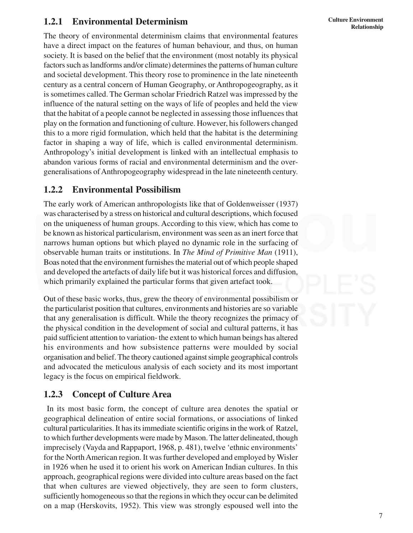# **1.2.1 Environmental Determinism**

The theory of environmental determinism claims that environmental features have a direct impact on the features of human behaviour, and thus, on human society. It is based on the belief that the environment (most notably its physical factors such as landforms and/or climate) determines the patterns of human culture and societal development. This theory rose to prominence in the late nineteenth century as a central concern of Human Geography, or Anthropogeography, as it is sometimes called. The German scholar Friedrich Ratzel was impressed by the influence of the natural setting on the ways of life of peoples and held the view that the habitat of a people cannot be neglected in assessing those influences that play on the formation and functioning of culture. However, his followers changed this to a more rigid formulation, which held that the habitat is the determining factor in shaping a way of life, which is called environmental determinism. Anthropology's initial development is linked with an intellectual emphasis to abandon various forms of racial and environmental determinism and the overgeneralisations of Anthropogeography widespread in the late nineteenth century.

# **1.2.2 Environmental Possibilism**

The early work of American anthropologists like that of Goldenweisser (1937) was characterised by a stress on historical and cultural descriptions, which focused on the uniqueness of human groups. According to this view, which has come to be known as historical particularism, environment was seen as an inert force that narrows human options but which played no dynamic role in the surfacing of observable human traits or institutions. In *The Mind of Primitive Man* (1911), Boas noted that the environment furnishes the material out of which people shaped and developed the artefacts of daily life but it was historical forces and diffusion, which primarily explained the particular forms that given artefact took.

Out of these basic works, thus, grew the theory of environmental possibilism or the particularist position that cultures, environments and histories are so variable that any generalisation is difficult. While the theory recognizes the primacy of the physical condition in the development of social and cultural patterns, it has paid sufficient attention to variation- the extent to which human beings has altered his environments and how subsistence patterns were moulded by social organisation and belief. The theory cautioned against simple geographical controls and advocated the meticulous analysis of each society and its most important legacy is the focus on empirical fieldwork.

# **1.2.3 Concept of Culture Area**

 In its most basic form, the concept of culture area denotes the spatial or geographical delineation of entire social formations, or associations of linked cultural particularities. It has its immediate scientific origins in the work of Ratzel, to which further developments were made by Mason. The latter delineated, though imprecisely (Vayda and Rappaport, 1968, p. 481), twelve 'ethnic environments' for the North American region. It was further developed and employed by Wisler in 1926 when he used it to orient his work on American Indian cultures. In this approach, geographical regions were divided into culture areas based on the fact that when cultures are viewed objectively, they are seen to form clusters, sufficiently homogeneous so that the regions in which they occur can be delimited on a map (Herskovits, 1952). This view was strongly espoused well into the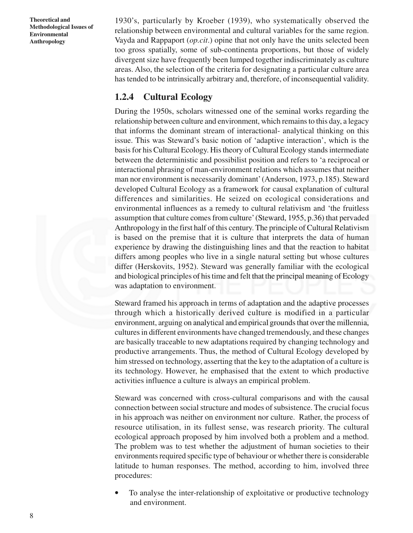1930's, particularly by Kroeber (1939), who systematically observed the relationship between environmental and cultural variables for the same region. Vayda and Rappaport (*op.cit*.) opine that not only have the units selected been too gross spatially, some of sub-continenta proportions, but those of widely divergent size have frequently been lumped together indiscriminately as culture areas. Also, the selection of the criteria for designating a particular culture area has tended to be intrinsically arbitrary and, therefore, of inconsequential validity.

# **1.2.4 Cultural Ecology**

During the 1950s, scholars witnessed one of the seminal works regarding the relationship between culture and environment, which remains to this day, a legacy that informs the dominant stream of interactional- analytical thinking on this issue. This was Steward's basic notion of 'adaptive interaction', which is the basis for his Cultural Ecology. His theory of Cultural Ecology stands intermediate between the deterministic and possibilist position and refers to 'a reciprocal or interactional phrasing of man-environment relations which assumes that neither man nor environment is necessarily dominant' (Anderson, 1973, p.185). Steward developed Cultural Ecology as a framework for causal explanation of cultural differences and similarities. He seized on ecological considerations and environmental influences as a remedy to cultural relativism and 'the fruitless assumption that culture comes from culture' (Steward, 1955, p.36) that pervaded Anthropology in the first half of this century. The principle of Cultural Relativism is based on the premise that it is culture that interprets the data of human experience by drawing the distinguishing lines and that the reaction to habitat differs among peoples who live in a single natural setting but whose cultures differ (Herskovits, 1952). Steward was generally familiar with the ecological and biological principles of his time and felt that the principal meaning of Ecology was adaptation to environment.

Steward framed his approach in terms of adaptation and the adaptive processes through which a historically derived culture is modified in a particular environment, arguing on analytical and empirical grounds that over the millennia, cultures in different environments have changed tremendously, and these changes are basically traceable to new adaptations required by changing technology and productive arrangements. Thus, the method of Cultural Ecology developed by him stressed on technology, asserting that the key to the adaptation of a culture is its technology. However, he emphasised that the extent to which productive activities influence a culture is always an empirical problem.

Steward was concerned with cross-cultural comparisons and with the causal connection between social structure and modes of subsistence. The crucial focus in his approach was neither on environment nor culture. Rather, the process of resource utilisation, in its fullest sense, was research priority. The cultural ecological approach proposed by him involved both a problem and a method. The problem was to test whether the adjustment of human societies to their environments required specific type of behaviour or whether there is considerable latitude to human responses. The method, according to him, involved three procedures:

• To analyse the inter-relationship of exploitative or productive technology and environment.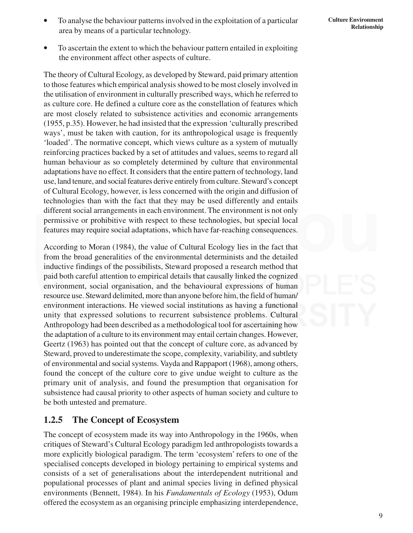- To analyse the behaviour patterns involved in the exploitation of a particular area by means of a particular technology.
- To ascertain the extent to which the behaviour pattern entailed in exploiting the environment affect other aspects of culture.

The theory of Cultural Ecology, as developed by Steward, paid primary attention to those features which empirical analysis showed to be most closely involved in the utilisation of environment in culturally prescribed ways, which he referred to as culture core. He defined a culture core as the constellation of features which are most closely related to subsistence activities and economic arrangements (1955, p.35). However, he had insisted that the expression 'culturally prescribed ways', must be taken with caution, for its anthropological usage is frequently 'loaded'. The normative concept, which views culture as a system of mutually reinforcing practices backed by a set of attitudes and values, seems to regard all human behaviour as so completely determined by culture that environmental adaptations have no effect. It considers that the entire pattern of technology, land use, land tenure, and social features derive entirely from culture. Steward's concept of Cultural Ecology, however, is less concerned with the origin and diffusion of technologies than with the fact that they may be used differently and entails different social arrangements in each environment. The environment is not only permissive or prohibitive with respect to these technologies, but special local features may require social adaptations, which have far-reaching consequences.

According to Moran (1984), the value of Cultural Ecology lies in the fact that from the broad generalities of the environmental determinists and the detailed inductive findings of the possibilists, Steward proposed a research method that paid both careful attention to empirical details that causally linked the cognized environment, social organisation, and the behavioural expressions of human resource use. Steward delimited, more than anyone before him, the field of human/ environment interactions. He viewed social institutions as having a functional unity that expressed solutions to recurrent subsistence problems. Cultural Anthropology had been described as a methodological tool for ascertaining how the adaptation of a culture to its environment may entail certain changes. However, Geertz (1963) has pointed out that the concept of culture core, as advanced by Steward, proved to underestimate the scope, complexity, variability, and subtlety of environmental and social systems. Vayda and Rappaport (1968), among others, found the concept of the culture core to give undue weight to culture as the primary unit of analysis, and found the presumption that organisation for subsistence had causal priority to other aspects of human society and culture to be both untested and premature.

# **1.2.5 The Concept of Ecosystem**

The concept of ecosystem made its way into Anthropology in the 1960s, when critiques of Steward's Cultural Ecology paradigm led anthropologists towards a more explicitly biological paradigm. The term 'ecosystem' refers to one of the specialised concepts developed in biology pertaining to empirical systems and consists of a set of generalisations about the interdependent nutritional and populational processes of plant and animal species living in defined physical environments (Bennett, 1984). In his *Fundamentals of Ecology* (1953), Odum offered the ecosystem as an organising principle emphasizing interdependence,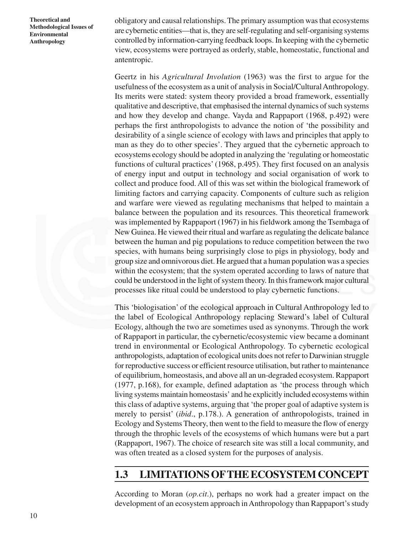obligatory and causal relationships. The primary assumption was that ecosystems are cybernetic entities—that is, they are self-regulating and self-organising systems controlled by information-carrying feedback loops. In keeping with the cybernetic view, ecosystems were portrayed as orderly, stable, homeostatic, functional and antentropic.

Geertz in his *Agricultural Involution* (1963) was the first to argue for the usefulness of the ecosystem as a unit of analysis in Social/Cultural Anthropology. Its merits were stated: system theory provided a broad framework, essentially qualitative and descriptive, that emphasised the internal dynamics of such systems and how they develop and change. Vayda and Rappaport (1968, p.492) were perhaps the first anthropologists to advance the notion of 'the possibility and desirability of a single science of ecology with laws and principles that apply to man as they do to other species'. They argued that the cybernetic approach to ecosystems ecology should be adopted in analyzing the 'regulating or homeostatic functions of cultural practices' (1968, p.495). They first focused on an analysis of energy input and output in technology and social organisation of work to collect and produce food. All of this was set within the biological framework of limiting factors and carrying capacity. Components of culture such as religion and warfare were viewed as regulating mechanisms that helped to maintain a balance between the population and its resources. This theoretical framework was implemented by Rappaport (1967) in his fieldwork among the Tsembaga of New Guinea. He viewed their ritual and warfare as regulating the delicate balance between the human and pig populations to reduce competition between the two species, with humans being surprisingly close to pigs in physiology, body and group size and omnivorous diet. He argued that a human population was a species within the ecosystem; that the system operated according to laws of nature that could be understood in the light of system theory. In this framework major cultural processes like ritual could be understood to play cybernetic functions.

This 'biologisation' of the ecological approach in Cultural Anthropology led to the label of Ecological Anthropology replacing Steward's label of Cultural Ecology, although the two are sometimes used as synonyms. Through the work of Rappaport in particular, the cybernetic/ecosystemic view became a dominant trend in environmental or Ecological Anthropology. To cybernetic ecological anthropologists, adaptation of ecological units does not refer to Darwinian struggle for reproductive success or efficient resource utilisation, but rather to maintenance of equilibrium, homeostasis, and above all an un-degraded ecosystem. Rappaport (1977, p.168), for example, defined adaptation as 'the process through which living systems maintain homeostasis' and he explicitly included ecosystems within this class of adaptive systems, arguing that 'the proper goal of adaptive system is merely to persist' (*ibid*., p.178.). A generation of anthropologists, trained in Ecology and Systems Theory, then went to the field to measure the flow of energy through the throphic levels of the ecosystems of which humans were but a part (Rappaport, 1967). The choice of research site was still a local community, and was often treated as a closed system for the purposes of analysis.

# **1.3 LIMITATIONS OFTHE ECOSYSTEM CONCEPT**

According to Moran (*op.cit*.), perhaps no work had a greater impact on the development of an ecosystem approach in Anthropology than Rappaport's study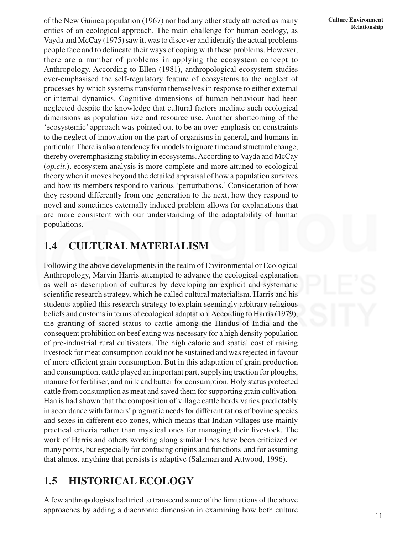of the New Guinea population (1967) nor had any other study attracted as many critics of an ecological approach. The main challenge for human ecology, as Vayda and McCay (1975) saw it, was to discover and identify the actual problems people face and to delineate their ways of coping with these problems. However, there are a number of problems in applying the ecosystem concept to Anthropology. According to Ellen (1981), anthropological ecosystem studies over-emphasised the self-regulatory feature of ecosystems to the neglect of processes by which systems transform themselves in response to either external or internal dynamics. Cognitive dimensions of human behaviour had been neglected despite the knowledge that cultural factors mediate such ecological dimensions as population size and resource use. Another shortcoming of the 'ecosystemic' approach was pointed out to be an over-emphasis on constraints to the neglect of innovation on the part of organisms in general, and humans in particular. There is also a tendency for models to ignore time and structural change, thereby overemphasizing stability in ecosystems. According to Vayda and McCay (*op.cit*.), ecosystem analysis is more complete and more attuned to ecological theory when it moves beyond the detailed appraisal of how a population survives and how its members respond to various 'perturbations.' Consideration of how they respond differently from one generation to the next, how they respond to novel and sometimes externally induced problem allows for explanations that are more consistent with our understanding of the adaptability of human populations.

# **1.4 CULTURAL MATERIALISM**

Following the above developments in the realm of Environmental or Ecological Anthropology, Marvin Harris attempted to advance the ecological explanation as well as description of cultures by developing an explicit and systematic scientific research strategy, which he called cultural materialism. Harris and his students applied this research strategy to explain seemingly arbitrary religious beliefs and customs in terms of ecological adaptation. According to Harris (1979), the granting of sacred status to cattle among the Hindus of India and the consequent prohibition on beef eating was necessary for a high density population of pre-industrial rural cultivators. The high caloric and spatial cost of raising livestock for meat consumption could not be sustained and was rejected in favour of more efficient grain consumption. But in this adaptation of grain production and consumption, cattle played an important part, supplying traction for ploughs, manure for fertiliser, and milk and butter for consumption. Holy status protected cattle from consumption as meat and saved them for supporting grain cultivation. Harris had shown that the composition of village cattle herds varies predictably in accordance with farmers' pragmatic needs for different ratios of bovine species and sexes in different eco-zones, which means that Indian villages use mainly practical criteria rather than mystical ones for managing their livestock. The work of Harris and others working along similar lines have been criticized on many points, but especially for confusing origins and functions and for assuming that almost anything that persists is adaptive (Salzman and Attwood, 1996).

# **1.5 HISTORICAL ECOLOGY**

A few anthropologists had tried to transcend some of the limitations of the above approaches by adding a diachronic dimension in examining how both culture

#### **Culture Environment Relationship**

11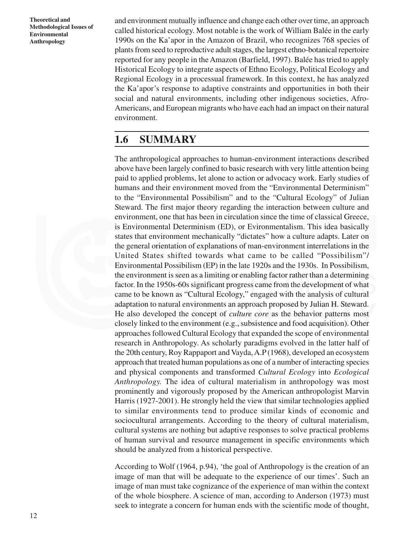and environment mutually influence and change each other over time, an approach called historical ecology. Most notable is the work of William Balée in the early 1990s on the Ka'apor in the Amazon of Brazil, who recognizes 768 species of plants from seed to reproductive adult stages, the largest ethno-botanical repertoire reported for any people in the Amazon (Barfield, 1997). Balée has tried to apply Historical Ecology to integrate aspects of Ethno Ecology, Political Ecology and Regional Ecology in a processual framework. In this context, he has analyzed the Ka'apor's response to adaptive constraints and opportunities in both their social and natural environments, including other indigenous societies, Afro-Americans, and European migrants who have each had an impact on their natural environment.

# **1.6 SUMMARY**

The anthropological approaches to human-environment interactions described above have been largely confined to basic research with very little attention being paid to applied problems, let alone to action or advocacy work. Early studies of humans and their environment moved from the "Environmental Determinism" to the "Environmental Possibilism" and to the "Cultural Ecology" of Julian Steward. The first major theory regarding the interaction between culture and environment, one that has been in circulation since the time of classical Greece, is Environmental Determinism (ED), or Evironmentalism. This idea basically states that environment mechanically "dictates" how a culture adapts. Later on the general orientation of explanations of man-environment interrelations in the United States shifted towards what came to be called "Possibilism"/ Environmental Possibilism (EP) in the late 1920s and the 1930s. In Possibilism, the environment is seen as a limiting or enabling factor rather than a determining factor. In the 1950s-60s significant progress came from the development of what came to be known as "Cultural Ecology," engaged with the analysis of cultural adaptation to natural environments an approach proposed by Julian H. Steward. He also developed the concept of *culture core* as the behavior patterns most closely linked to the environment (e.g., subsistence and food acquisition). Other approaches followed Cultural Ecology that expanded the scope of environmental research in Anthropology. As scholarly paradigms evolved in the latter half of the 20th century, Roy Rappaport and Vayda, A.P (1968), developed an ecosystem approach that treated human populations as one of a number of interacting species and physical components and transformed *Cultural Ecology* into *Ecological Anthropology.* The idea of cultural materialism in anthropology was most prominently and vigorously proposed by the American anthropologist Marvin Harris (1927-2001). He strongly held the view that similar technologies applied to similar environments tend to produce similar kinds of economic and sociocultural arrangements. According to the theory of cultural materialism, cultural systems are nothing but adaptive responses to solve practical problems of human survival and resource management in specific environments which should be analyzed from a historical perspective.

According to Wolf (1964, p.94), 'the goal of Anthropology is the creation of an image of man that will be adequate to the experience of our times'. Such an image of man must take cognizance of the experience of man within the context of the whole biosphere. A science of man, according to Anderson (1973) must seek to integrate a concern for human ends with the scientific mode of thought,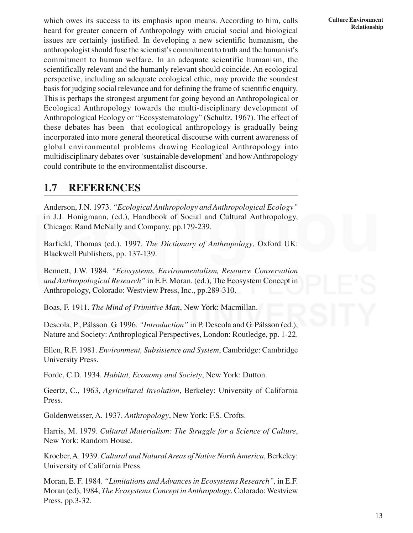which owes its success to its emphasis upon means. According to him, calls heard for greater concern of Anthropology with crucial social and biological issues are certainly justified. In developing a new scientific humanism, the anthropologist should fuse the scientist's commitment to truth and the humanist's commitment to human welfare. In an adequate scientific humanism, the scientifically relevant and the humanly relevant should coincide. An ecological perspective, including an adequate ecological ethic, may provide the soundest basis for judging social relevance and for defining the frame of scientific enquiry. This is perhaps the strongest argument for going beyond an Anthropological or Ecological Anthropology towards the multi-disciplinary development of Anthropological Ecology or "Ecosystematology" (Schultz, 1967). The effect of these debates has been that ecological anthropology is gradually being incorporated into more general theoretical discourse with current awareness of global environmental problems drawing Ecological Anthropology into multidisciplinary debates over 'sustainable development' and how Anthropology could contribute to the environmentalist discourse.

# **1.7 REFERENCES**

Anderson, J.N. 1973. *"Ecological Anthropology and Anthropological Ecology"* in J.J. Honigmann, (ed.), Handbook of Social and Cultural Anthropology, Chicago: Rand McNally and Company, pp.179-239.

Barfield, Thomas (ed.). 1997. *The Dictionary of Anthropology*, Oxford UK: Blackwell Publishers, pp. 137-139.

Bennett, J.W. 1984. *"Ecosystems, Environmentalism, Resource Conservation and Anthropological Research"* in E.F. Moran, (ed.), The Ecosystem Concept in Anthropology, Colorado: Westview Press, Inc., pp.289-310.

Boas, F. 1911. *The Mind of Primitive Man*, New York: Macmillan.

Descola, P., Pálsson .G. 1996. *"Introduction"* in P. Descola and G. Pálsson (ed.), Nature and Society: Anthroplogical Perspectives, London: Routledge, pp. 1-22.

Ellen, R.F. 1981. *Environment, Subsistence and System*, Cambridge: Cambridge University Press.

Forde, C.D. 1934. *Habitat, Economy and Society*, New York: Dutton.

Geertz, C., 1963, *Agricultural Involution*, Berkeley: University of California Press.

Goldenweisser, A. 1937. *Anthropology*, New York: F.S. Crofts.

Harris, M. 1979. *Cultural Materialism: The Struggle for a Science of Culture*, New York: Random House.

Kroeber, A. 1939. *Cultural and Natural Areas of Native North America*, Berkeley: University of California Press.

Moran, E. F. 1984. *"Limitations and Advances in Ecosystems Research",* in E.F. Moran (ed), 1984, *The Ecosystems Concept in Anthropology*, Colorado: Westview Press, pp.3-32.

**Culture Environment Relationship**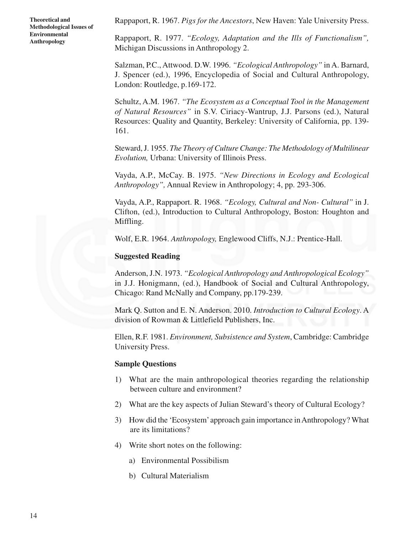Rappaport, R. 1967. *Pigs for the Ancestors*, New Haven: Yale University Press.

Rappaport, R. 1977. *"Ecology, Adaptation and the Ills of Functionalism",* Michigan Discussions in Anthropology 2.

Salzman, P.C., Attwood. D.W. 1996. *"Ecological Anthropology"* in A. Barnard, J. Spencer (ed.), 1996, Encyclopedia of Social and Cultural Anthropology, London: Routledge, p.169-172.

Schultz, A.M. 1967. *"The Ecosystem as a Conceptual Tool in the Management of Natural Resources"* in S.V. Ciriacy-Wantrup, J.J. Parsons (ed.), Natural Resources: Quality and Quantity, Berkeley: University of California, pp. 139- 161.

Steward, J. 1955. *The Theory of Culture Change: The Methodology of Multilinear Evolution,* Urbana: University of Illinois Press.

Vayda, A.P., McCay. B. 1975. *"New Directions in Ecology and Ecological Anthropology",* Annual Review in Anthropology; 4, pp. 293-306.

Vayda, A.P., Rappaport. R. 1968. *"Ecology, Cultural and Non- Cultural"* in J. Clifton, (ed.), Introduction to Cultural Anthropology, Boston: Houghton and Miffling.

Wolf, E.R. 1964. *Anthropology,* Englewood Cliffs, N.J.: Prentice-Hall.

#### **Suggested Reading**

Anderson, J.N. 1973. *"Ecological Anthropology and Anthropological Ecology"* in J.J. Honigmann, (ed.), Handbook of Social and Cultural Anthropology, Chicago: Rand McNally and Company, pp.179-239.

Mark Q. Sutton and E. N. Anderson. 2010. *Introduction to Cultural Ecology*. A division of Rowman & Littlefield Publishers, Inc.

Ellen, R.F. 1981. *Environment, Subsistence and System*, Cambridge: Cambridge University Press.

#### **Sample Questions**

- 1) What are the main anthropological theories regarding the relationship between culture and environment?
- 2) What are the key aspects of Julian Steward's theory of Cultural Ecology?
- 3) How did the 'Ecosystem' approach gain importance in Anthropology? What are its limitations?
- 4) Write short notes on the following:
	- a) Environmental Possibilism
	- b) Cultural Materialism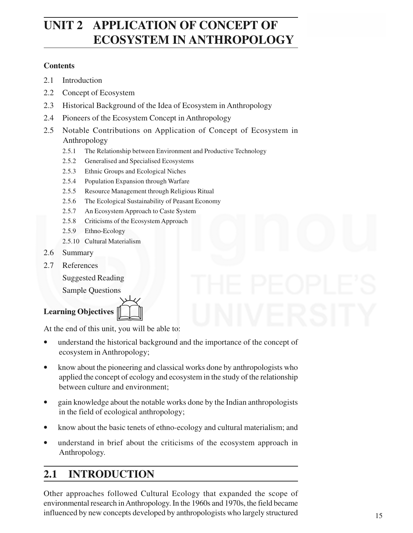# **CUNIT 2 APPLICATION OF CONCEPT OF ECOSYSTEM IN ANTHROPOLOGY**

### **Contents**

- 2.1 Introduction
- 2.2 Concept of Ecosystem
- 2.3 Historical Background of the Idea of Ecosystem in Anthropology
- 2.4 Pioneers of the Ecosystem Concept in Anthropology
- 2.5 Notable Contributions on Application of Concept of Ecosystem in Anthropology
	- 2.5.1 The Relationship between Environment and Productive Technology
	- 2.5.2 Generalised and Specialised Ecosystems
	- 2.5.3 Ethnic Groups and Ecological Niches
	- 2.5.4 Population Expansion through Warfare
	- 2.5.5 Resource Management through Religious Ritual
	- 2.5.6 The Ecological Sustainability of Peasant Economy
	- 2.5.7 An Ecosystem Approach to Caste System
	- 2.5.8 Criticisms of the Ecosystem Approach
	- 2.5.9 Ethno-Ecology
	- 2.5.10 Cultural Materialism
- 2.6 Summary
- 2.7 References

Suggested Reading

Sample Questions

**Learning Objectives**



At the end of this unit, you will be able to:

- understand the historical background and the importance of the concept of ecosystem in Anthropology;
- know about the pioneering and classical works done by anthropologists who applied the concept of ecology and ecosystem in the study of the relationship between culture and environment;
- gain knowledge about the notable works done by the Indian anthropologists in the field of ecological anthropology;
- know about the basic tenets of ethno-ecology and cultural materialism; and
- understand in brief about the criticisms of the ecosystem approach in Anthropology.

# **2.1 INTRODUCTION**

Other approaches followed Cultural Ecology that expanded the scope of environmental research in Anthropology. In the 1960s and 1970s, the field became influenced by new concepts developed by anthropologists who largely structured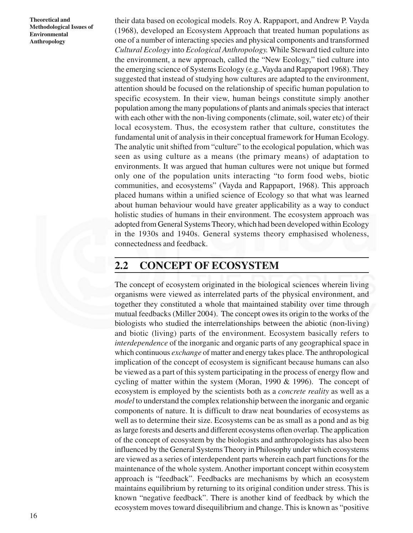their data based on ecological models. Roy A. Rappaport, and Andrew P. Vayda (1968), developed an Ecosystem Approach that treated human populations as one of a number of interacting species and physical components and transformed *Cultural Ecology* into *Ecological Anthropology.* While Steward tied culture into the environment, a new approach, called the "New Ecology," tied culture into the emerging science of Systems Ecology (e.g.,Vayda and Rappaport 1968). They suggested that instead of studying how cultures are adapted to the environment, attention should be focused on the relationship of specific human population to specific ecosystem. In their view, human beings constitute simply another population among the many populations of plants and animals species that interact with each other with the non-living components (climate, soil, water etc) of their local ecosystem. Thus, the ecosystem rather that culture, constitutes the fundamental unit of analysis in their conceptual framework for Human Ecology. The analytic unit shifted from "culture" to the ecological population, which was seen as using culture as a means (the primary means) of adaptation to environments. It was argued that human cultures were not unique but formed only one of the population units interacting "to form food webs, biotic communities, and ecosystems" (Vayda and Rappaport, 1968). This approach placed humans within a unified science of Ecology so that what was learned about human behaviour would have greater applicability as a way to conduct holistic studies of humans in their environment. The ecosystem approach was adopted from General Systems Theory, which had been developed within Ecology in the 1930s and 1940s. General systems theory emphasised wholeness, connectedness and feedback.

# **2.2 CONCEPT OF ECOSYSTEM**

The concept of ecosystem originated in the biological sciences wherein living organisms were viewed as interrelated parts of the physical environment, and together they constituted a whole that maintained stability over time through mutual feedbacks (Miller 2004). The concept owes its origin to the works of the biologists who studied the interrelationships between the abiotic (non-living) and biotic (living) parts of the environment. Ecosystem basically refers to *interdependence* of the inorganic and organic parts of any geographical space in which continuous *exchange* of matter and energy takes place. The anthropological implication of the concept of ecosystem is significant because humans can also be viewed as a part of this system participating in the process of energy flow and cycling of matter within the system (Moran, 1990 & 1996). The concept of ecosystem is employed by the scientists both as a *concrete reality* as well as a *model* to understand the complex relationship between the inorganic and organic components of nature. It is difficult to draw neat boundaries of ecosystems as well as to determine their size. Ecosystems can be as small as a pond and as big as large forests and deserts and different ecosystems often overlap. The application of the concept of ecosystem by the biologists and anthropologists has also been influenced by the General Systems Theory in Philosophy under which ecosystems are viewed as a series of interdependent parts wherein each part functions for the maintenance of the whole system. Another important concept within ecosystem approach is "feedback". Feedbacks are mechanisms by which an ecosystem maintains equilibrium by returning to its original condition under stress. This is known "negative feedback". There is another kind of feedback by which the ecosystem moves toward disequilibrium and change. This is known as "positive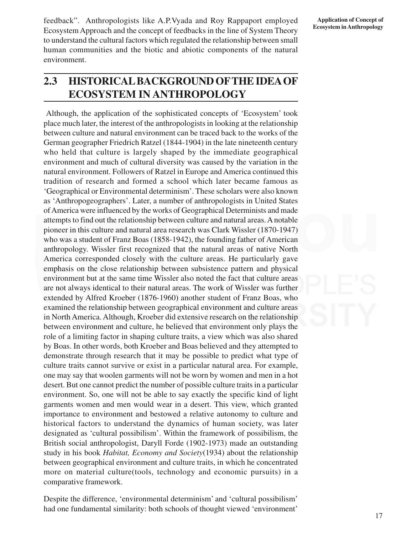feedback". Anthropologists like A.P.Vyada and Roy Rappaport employed Ecosystem Approach and the concept of feedbacks in the line of System Theory to understand the cultural factors which regulated the relationship between small human communities and the biotic and abiotic components of the natural environment.

# **2.3 HISTORICAL BACKGROUND OFTHE IDEA OF ECOSYSTEM IN ANTHROPOLOGY**

Although, the application of the sophisticated concepts of 'Ecosystem' took place much later, the interest of the anthropologists in looking at the relationship between culture and natural environment can be traced back to the works of the German geographer Friedrich Ratzel (1844-1904) in the late nineteenth century who held that culture is largely shaped by the immediate geographical environment and much of cultural diversity was caused by the variation in the natural environment. Followers of Ratzel in Europe and America continued this tradition of research and formed a school which later became famous as 'Geographical or Environmental determinism'. These scholars were also known as 'Anthropogeographers'. Later, a number of anthropologists in United States of America were influenced by the works of Geographical Determinists and made attempts to find out the relationship between culture and natural areas. A notable pioneer in this culture and natural area research was Clark Wissler (1870-1947) who was a student of Franz Boas (1858-1942), the founding father of American anthropology. Wissler first recognized that the natural areas of native North America corresponded closely with the culture areas. He particularly gave emphasis on the close relationship between subsistence pattern and physical environment but at the same time Wissler also noted the fact that culture areas are not always identical to their natural areas. The work of Wissler was further extended by Alfred Kroeber (1876-1960) another student of Franz Boas, who examined the relationship between geographical environment and culture areas in North America. Although, Kroeber did extensive research on the relationship between environment and culture, he believed that environment only plays the role of a limiting factor in shaping culture traits, a view which was also shared by Boas. In other words, both Kroeber and Boas believed and they attempted to demonstrate through research that it may be possible to predict what type of culture traits cannot survive or exist in a particular natural area. For example, one may say that woolen garments will not be worn by women and men in a hot desert. But one cannot predict the number of possible culture traits in a particular environment. So, one will not be able to say exactly the specific kind of light garments women and men would wear in a desert. This view, which granted importance to environment and bestowed a relative autonomy to culture and historical factors to understand the dynamics of human society, was later designated as 'cultural possibilism'. Within the framework of possibilism, the British social anthropologist, Daryll Forde (1902-1973) made an outstanding study in his book *Habitat, Economy and Society*(1934) about the relationship between geographical environment and culture traits, in which he concentrated more on material culture(tools, technology and economic pursuits) in a comparative framework.

Despite the difference, 'environmental determinism' and 'cultural possibilism' had one fundamental similarity: both schools of thought viewed 'environment'

17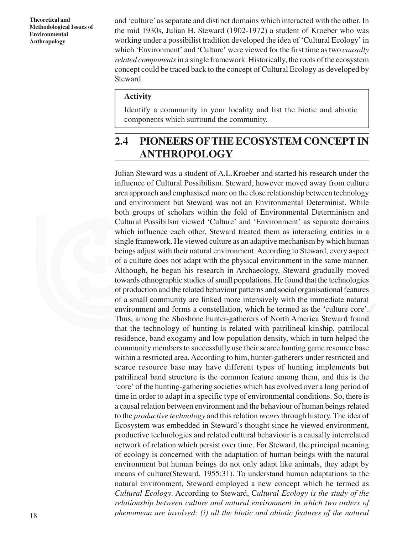and 'culture' as separate and distinct domains which interacted with the other. In the mid 1930s, Julian H. Steward (1902-1972) a student of Kroeber who was working under a possibilist tradition developed the idea of 'Cultural Ecology' in which 'Environment' and 'Culture' were viewed for the first time as two *causally related components* in a single framework. Historically, the roots of the ecosystem concept could be traced back to the concept of Cultural Ecology as developed by Steward.

#### **Activity**

Identify a community in your locality and list the biotic and abiotic components which surround the community.

# **2.4 PIONEERS OFTHE ECOSYSTEM CONCEPT IN ANTHROPOLOGY**

Julian Steward was a student of A.L.Kroeber and started his research under the influence of Cultural Possibilism. Steward, however moved away from culture area approach and emphasised more on the close relationship between technology and environment but Steward was not an Environmental Determinist. While both groups of scholars within the fold of Environmental Determinism and Cultural Possibilsm viewed 'Culture' and 'Environment' as separate domains which influence each other, Steward treated them as interacting entities in a single framework. He viewed culture as an adaptive mechanism by which human beings adjust with their natural environment. According to Steward, every aspect of a culture does not adapt with the physical environment in the same manner. Although, he began his research in Archaeology, Steward gradually moved towards ethnographic studies of small populations. He found that the technologies of production and the related behaviour patterns and social organisational features of a small community are linked more intensively with the immediate natural environment and forms a constellation, which he termed as the 'culture core'. Thus, among the Shoshone hunter-gatherers of North America Steward found that the technology of hunting is related with patrilineal kinship, patrilocal residence, band exogamy and low population density, which in turn helped the community members to successfully use their scarce hunting game resource base within a restricted area. According to him, hunter-gatherers under restricted and scarce resource base may have different types of hunting implements but patrilineal band structure is the common feature among them, and this is the 'core' of the hunting-gathering societies which has evolved over a long period of time in order to adapt in a specific type of environmental conditions. So, there is a causal relation between environment and the behaviour of human beings related to the *productive technology* and this relation *recurs* through history. The idea of Ecosystem was embedded in Steward's thought since he viewed environment, productive technologies and related cultural behaviour is a causally interrelated network of relation which persist over time. For Steward, the principal meaning of ecology is concerned with the adaptation of human beings with the natural environment but human beings do not only adapt like animals, they adapt by means of culture(Steward, 1955:31). To understand human adaptations to the natural environment, Steward employed a new concept which he termed as *Cultural Ecology*. According to Steward, C*ultural Ecology is the study of the relationship between culture and natural environment in which two orders of phenomena are involved: (i) all the biotic and abiotic features of the natural*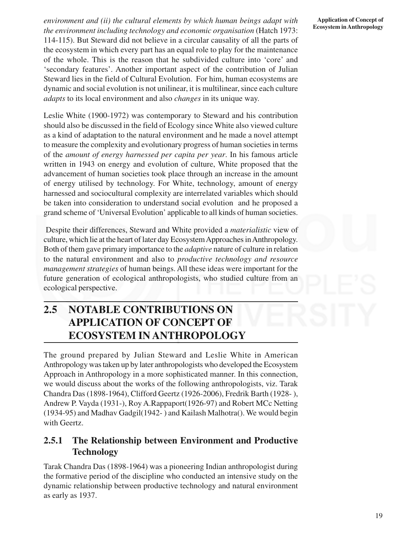*environment and (ii) the cultural elements by which human beings adapt with the environment including technology and economic organisation* (Hatch 1973: 114-115). But Steward did not believe in a circular causality of all the parts of the ecosystem in which every part has an equal role to play for the maintenance of the whole. This is the reason that he subdivided culture into 'core' and 'secondary features'. Another important aspect of the contribution of Julian Steward lies in the field of Cultural Evolution. For him, human ecosystems are dynamic and social evolution is not unilinear, it is multilinear, since each culture *adapts* to its local environment and also *changes* in its unique way.

Leslie White (1900-1972) was contemporary to Steward and his contribution should also be discussed in the field of Ecology since White also viewed culture as a kind of adaptation to the natural environment and he made a novel attempt to measure the complexity and evolutionary progress of human societies in terms of the *amount of energy harnessed per capita per year*. In his famous article written in 1943 on energy and evolution of culture, White proposed that the advancement of human societies took place through an increase in the amount of energy utilised by technology. For White, technology, amount of energy harnessed and sociocultural complexity are interrelated variables which should be taken into consideration to understand social evolution and he proposed a grand scheme of 'Universal Evolution' applicable to all kinds of human societies.

 Despite their differences, Steward and White provided a *materialistic* view of culture, which lie at the heart of later day Ecosystem Approaches in Anthropology. Both of them gave primary importance to the *adaptive* nature of culture in relation to the natural environment and also to *productive technology and resource management strategies* of human beings. All these ideas were important for the future generation of ecological anthropologists, who studied culture from an ecological perspective.

# **2.5 NOTABLE CONTRIBUTIONS ON APPLICATION OF CONCEPT OF ECOSYSTEM IN ANTHROPOLOGY**

The ground prepared by Julian Steward and Leslie White in American Anthropology was taken up by later anthropologists who developed the Ecosystem Approach in Anthropology in a more sophisticated manner. In this connection, we would discuss about the works of the following anthropologists, viz. Tarak Chandra Das (1898-1964), Clifford Geertz (1926-2006), Fredrik Barth (1928- ), Andrew P. Vayda (1931-), Roy A.Rappaport(1926-97) and Robert MCc Netting (1934-95) and Madhav Gadgil(1942- ) and Kailash Malhotra(). We would begin with Geertz.

# **2.5.1 The Relationship between Environment and Productive Technology**

Tarak Chandra Das (1898-1964) was a pioneering Indian anthropologist during the formative period of the discipline who conducted an intensive study on the dynamic relationship between productive technology and natural environment as early as 1937.

**Application of Concept of Ecosystem in Anthropology**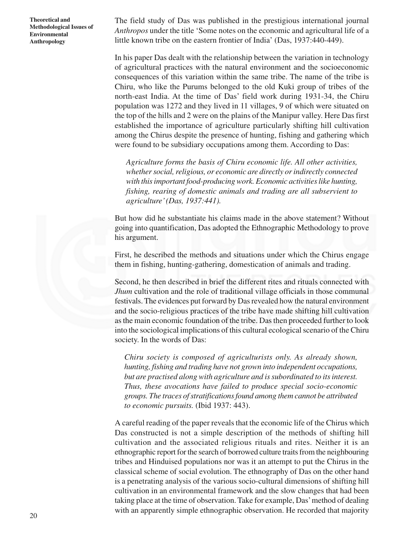The field study of Das was published in the prestigious international journal *Anthropos* under the title 'Some notes on the economic and agricultural life of a little known tribe on the eastern frontier of India' (Das, 1937:440-449).

In his paper Das dealt with the relationship between the variation in technology of agricultural practices with the natural environment and the socioeconomic consequences of this variation within the same tribe. The name of the tribe is Chiru, who like the Purums belonged to the old Kuki group of tribes of the north-east India. At the time of Das' field work during 1931-34, the Chiru population was 1272 and they lived in 11 villages, 9 of which were situated on the top of the hills and 2 were on the plains of the Manipur valley. Here Das first established the importance of agriculture particularly shifting hill cultivation among the Chirus despite the presence of hunting, fishing and gathering which were found to be subsidiary occupations among them. According to Das:

*Agriculture forms the basis of Chiru economic life. All other activities, whether social, religious, or economic are directly or indirectly connected with this important food-producing work. Economic activities like hunting, fishing, rearing of domestic animals and trading are all subservient to agriculture' (Das, 1937:441).*

But how did he substantiate his claims made in the above statement? Without going into quantification, Das adopted the Ethnographic Methodology to prove his argument.

First, he described the methods and situations under which the Chirus engage them in fishing, hunting-gathering, domestication of animals and trading.

Second, he then described in brief the different rites and rituals connected with *Jhum* cultivation and the role of traditional village officials in those communal festivals. The evidences put forward by Das revealed how the natural environment and the socio-religious practices of the tribe have made shifting hill cultivation as the main economic foundation of the tribe. Das then proceeded further to look into the sociological implications of this cultural ecological scenario of the Chiru society. In the words of Das:

*Chiru society is composed of agriculturists only. As already shown, hunting, fishing and trading have not grown into independent occupations, but are practised along with agriculture and is subordinated to its interest. Thus, these avocations have failed to produce special socio-economic groups. The traces of stratifications found among them cannot be attributed to economic pursuits.* (Ibid 1937: 443).

A careful reading of the paper reveals that the economic life of the Chirus which Das constructed is not a simple description of the methods of shifting hill cultivation and the associated religious rituals and rites. Neither it is an ethnographic report for the search of borrowed culture traits from the neighbouring tribes and Hinduised populations nor was it an attempt to put the Chirus in the classical scheme of social evolution. The ethnography of Das on the other hand is a penetrating analysis of the various socio-cultural dimensions of shifting hill cultivation in an environmental framework and the slow changes that had been taking place at the time of observation. Take for example, Das' method of dealing with an apparently simple ethnographic observation. He recorded that majority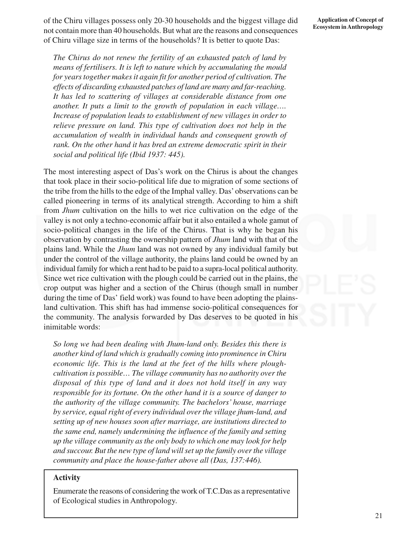of the Chiru villages possess only 20-30 households and the biggest village did not contain more than 40 households. But what are the reasons and consequences of Chiru village size in terms of the households? It is better to quote Das:

*The Chirus do not renew the fertility of an exhausted patch of land by means of fertilisers. It is left to nature which by accumulating the mould for years together makes it again fit for another period of cultivation. The effects of discarding exhausted patches of land are many and far-reaching. It has led to scattering of villages at considerable distance from one another. It puts a limit to the growth of population in each village…. Increase of population leads to establishment of new villages in order to relieve pressure on land. This type of cultivation does not help in the accumulation of wealth in individual hands and consequent growth of rank. On the other hand it has bred an extreme democratic spirit in their social and political life (Ibid 1937: 445).*

The most interesting aspect of Das's work on the Chirus is about the changes that took place in their socio-political life due to migration of some sections of the tribe from the hills to the edge of the Imphal valley. Das' observations can be called pioneering in terms of its analytical strength. According to him a shift from *Jhum* cultivation on the hills to wet rice cultivation on the edge of the valley is not only a techno-economic affair but it also entailed a whole gamut of socio-political changes in the life of the Chirus. That is why he began his observation by contrasting the ownership pattern of *Jhum* land with that of the plains land. While the *Jhum* land was not owned by any individual family but under the control of the village authority, the plains land could be owned by an individual family for which a rent had to be paid to a supra-local political authority. Since wet rice cultivation with the plough could be carried out in the plains, the crop output was higher and a section of the Chirus (though small in number during the time of Das' field work) was found to have been adopting the plainsland cultivation. This shift has had immense socio-political consequences for the community. The analysis forwarded by Das deserves to be quoted in his inimitable words:

*So long we had been dealing with Jhum-land only. Besides this there is another kind of land which is gradually coming into prominence in Chiru economic life. This is the land at the feet of the hills where ploughcultivation is possible… The village community has no authority over the disposal of this type of land and it does not hold itself in any way responsible for its fortune. On the other hand it is a source of danger to the authority of the village community. The bachelors' house, marriage by service, equal right of every individual over the village jhum-land, and setting up of new houses soon after marriage, are institutions directed to the same end, namely undermining the influence of the family and setting up the village community as the only body to which one may look for help and succour. But the new type of land will set up the family over the village community and place the house-father above all (Das, 137:446).*

#### **Activity**

Enumerate the reasons of considering the work of T.C.Das as a representative of Ecological studies in Anthropology.

#### **Application of Concept of Ecosystem in Anthropology**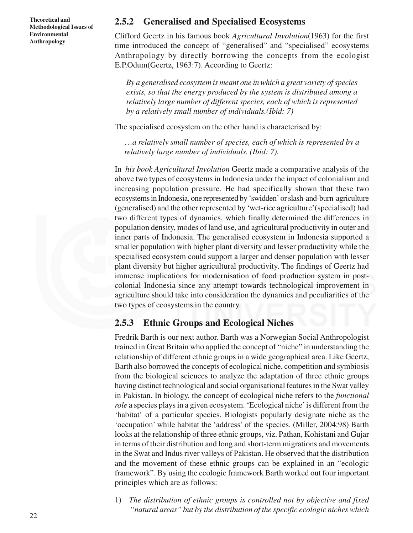### **2.5.2 Generalised and Specialised Ecosystems**

Clifford Geertz in his famous book *Agricultural Involution*(1963) for the first time introduced the concept of "generalised" and "specialised" ecosystems Anthropology by directly borrowing the concepts from the ecologist E.P.Odum(Geertz, 1963:7). According to Geertz:

*By a generalised ecosystem is meant one in which a great variety of species exists, so that the energy produced by the system is distributed among a relatively large number of different species, each of which is represented by a relatively small number of individuals.(Ibid: 7)*

The specialised ecosystem on the other hand is characterised by:

…*a relatively small number of species, each of which is represented by a relatively large number of individuals. (Ibid: 7).*

In *his book Agricultural Involution* Geertz made a comparative analysis of the above two types of ecosystems in Indonesia under the impact of colonialism and increasing population pressure. He had specifically shown that these two ecosystems in Indonesia, one represented by 'swidden' or slash-and-burn agriculture (generalised) and the other represented by 'wet-rice agriculture'(specialised) had two different types of dynamics, which finally determined the differences in population density, modes of land use, and agricultural productivity in outer and inner parts of Indonesia. The generalised ecosystem in Indonesia supported a smaller population with higher plant diversity and lesser productivity while the specialised ecosystem could support a larger and denser population with lesser plant diversity but higher agricultural productivity. The findings of Geertz had immense implications for modernisation of food production system in postcolonial Indonesia since any attempt towards technological improvement in agriculture should take into consideration the dynamics and peculiarities of the two types of ecosystems in the country.

### **2.5.3 Ethnic Groups and Ecological Niches**

Fredrik Barth is our next author. Barth was a Norwegian Social Anthropologist trained in Great Britain who applied the concept of "niche" in understanding the relationship of different ethnic groups in a wide geographical area. Like Geertz, Barth also borrowed the concepts of ecological niche, competition and symbiosis from the biological sciences to analyze the adaptation of three ethnic groups having distinct technological and social organisational features in the Swat valley in Pakistan. In biology, the concept of ecological niche refers to the *functional role* a species plays in a given ecosystem. 'Ecological niche' is different from the 'habitat' of a particular species. Biologists popularly designate niche as the 'occupation' while habitat the 'address' of the species. (Miller, 2004:98) Barth looks at the relationship of three ethnic groups, viz. Pathan, Kohistani and Gujar in terms of their distribution and long and short-term migrations and movements in the Swat and Indus river valleys of Pakistan. He observed that the distribution and the movement of these ethnic groups can be explained in an "ecologic framework". By using the ecologic framework Barth worked out four important principles which are as follows:

1) *The distribution of ethnic groups is controlled not by objective and fixed "natural areas" but by the distribution of the specific ecologic niches which*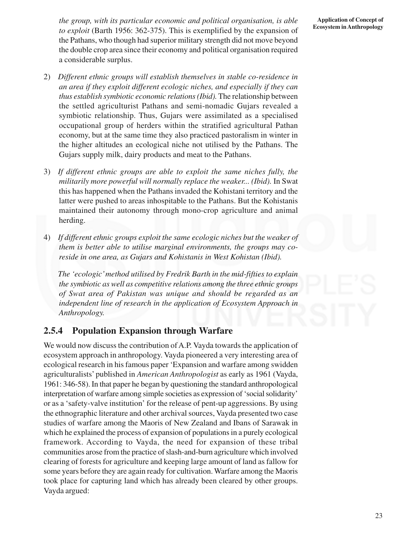*the group, with its particular economic and political organisation, is able to exploit* (Barth 1956: 362-375). This is exemplified by the expansion of the Pathans, who though had superior military strength did not move beyond the double crop area since their economy and political organisation required a considerable surplus.

- 2) *Different ethnic groups will establish themselves in stable co-residence in an area if they exploit different ecologic niches, and especially if they can thus establish symbiotic economic relations (Ibid).*The relationship between the settled agriculturist Pathans and semi-nomadic Gujars revealed a symbiotic relationship. Thus, Gujars were assimilated as a specialised occupational group of herders within the stratified agricultural Pathan economy, but at the same time they also practiced pastoralism in winter in the higher altitudes an ecological niche not utilised by the Pathans. The Gujars supply milk, dairy products and meat to the Pathans.
- 3) *If different ethnic groups are able to exploit the same niches fully, the militarily more powerful will normally replace the weaker... (Ibid).* In Swat this has happened when the Pathans invaded the Kohistani territory and the latter were pushed to areas inhospitable to the Pathans. But the Kohistanis maintained their autonomy through mono-crop agriculture and animal herding.
- 4) *If different ethnic groups exploit the same ecologic niches but the weaker of them is better able to utilise marginal environments, the groups may coreside in one area, as Gujars and Kohistanis in West Kohistan (Ibid).*

*The 'ecologic' method utilised by Fredrik Barth in the mid-fifties to explain the symbiotic as well as competitive relations among the three ethnic groups of Swat area of Pakistan was unique and should be regarded as an independent line of research in the application of Ecosystem Approach in Anthropology.*

# **2.5.4 Population Expansion through Warfare**

We would now discuss the contribution of A.P. Vayda towards the application of ecosystem approach in anthropology. Vayda pioneered a very interesting area of ecological research in his famous paper 'Expansion and warfare among swidden agriculturalists' published in *American Anthropologist* as early as 1961 (Vayda, 1961: 346-58). In that paper he began by questioning the standard anthropological interpretation of warfare among simple societies as expression of 'social solidarity' or as a 'safety-valve institution' for the release of pent-up aggressions. By using the ethnographic literature and other archival sources, Vayda presented two case studies of warfare among the Maoris of New Zealand and Ibans of Sarawak in which he explained the process of expansion of populations in a purely ecological framework. According to Vayda, the need for expansion of these tribal communities arose from the practice of slash-and-burn agriculture which involved clearing of forests for agriculture and keeping large amount of land as fallow for some years before they are again ready for cultivation. Warfare among the Maoris took place for capturing land which has already been cleared by other groups. Vayda argued:

**Application of Concept of Ecosystem in Anthropology**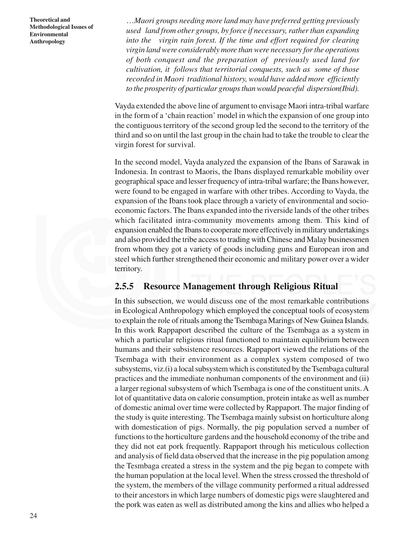…*Maori groups needing more land may have preferred getting previously used land from other groups, by force if necessary, rather than expanding into the virgin rain forest. If the time and effort required for clearing virgin land were considerably more than were necessary for the operations of both conquest and the preparation of previously used land for cultivation, it follows that territorial conquests, such as some of those recorded in Maori traditional history, would have added more efficiently to the prosperity of particular groups than would peaceful dispersion(Ibid).*

Vayda extended the above line of argument to envisage Maori intra-tribal warfare in the form of a 'chain reaction' model in which the expansion of one group into the contiguous territory of the second group led the second to the territory of the third and so on until the last group in the chain had to take the trouble to clear the virgin forest for survival.

In the second model, Vayda analyzed the expansion of the Ibans of Sarawak in Indonesia. In contrast to Maoris, the Ibans displayed remarkable mobility over geographical space and lesser frequency of intra-tribal warfare; the Ibans however, were found to be engaged in warfare with other tribes. According to Vayda, the expansion of the Ibans took place through a variety of environmental and socioeconomic factors. The Ibans expanded into the riverside lands of the other tribes which facilitated intra-community movements among them. This kind of expansion enabled the Ibans to cooperate more effectively in military undertakings and also provided the tribe access to trading with Chinese and Malay businessmen from whom they got a variety of goods including guns and European iron and steel which further strengthened their economic and military power over a wider territory.

### **2.5.5 Resource Management through Religious Ritual**

In this subsection, we would discuss one of the most remarkable contributions in Ecological Anthropology which employed the conceptual tools of ecosystem to explain the role of rituals among the Tsembaga Marings of New Guinea Islands. In this work Rappaport described the culture of the Tsembaga as a system in which a particular religious ritual functioned to maintain equilibrium between humans and their subsistence resources. Rappaport viewed the relations of the Tsembaga with their environment as a complex system composed of two subsystems, viz.(i) a local subsystem which is constituted by the Tsembaga cultural practices and the immediate nonhuman components of the environment and (ii) a larger regional subsystem of which Tsembaga is one of the constituent units. A lot of quantitative data on calorie consumption, protein intake as well as number of domestic animal over time were collected by Rappaport. The major finding of the study is quite interesting. The Tsembaga mainly subsist on horticulture along with domestication of pigs. Normally, the pig population served a number of functions to the horticulture gardens and the household economy of the tribe and they did not eat pork frequently. Rappaport through his meticulous collection and analysis of field data observed that the increase in the pig population among the Tesmbaga created a stress in the system and the pig began to compete with the human population at the local level. When the stress crossed the threshold of the system, the members of the village community performed a ritual addressed to their ancestors in which large numbers of domestic pigs were slaughtered and the pork was eaten as well as distributed among the kins and allies who helped a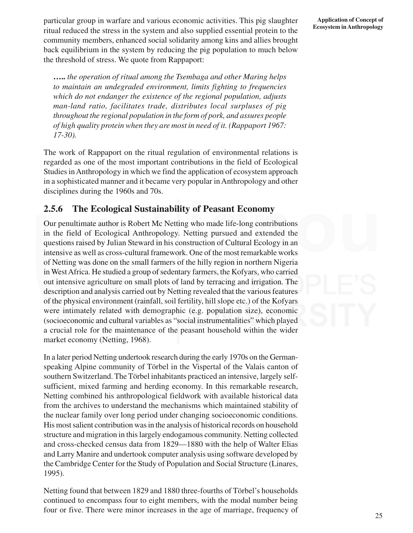particular group in warfare and various economic activities. This pig slaughter ritual reduced the stress in the system and also supplied essential protein to the community members, enhanced social solidarity among kins and allies brought back equilibrium in the system by reducing the pig population to much below the threshold of stress. We quote from Rappaport:

**…..** *the operation of ritual among the Tsembaga and other Maring helps to maintain an undegraded environment, limits fighting to frequencies which do not endanger the existence of the regional population, adjusts man-land ratio, facilitates trade, distributes local surpluses of pig throughout the regional population in the form of pork, and assures people of high quality protein when they are most in need of it. (Rappaport 1967: 17-30).*

The work of Rappaport on the ritual regulation of environmental relations is regarded as one of the most important contributions in the field of Ecological Studies in Anthropology in which we find the application of ecosystem approach in a sophisticated manner and it became very popular in Anthropology and other disciplines during the 1960s and 70s.

# **2.5.6 The Ecological Sustainability of Peasant Economy**

Our penultimate author is Robert Mc Netting who made life-long contributions in the field of Ecological Anthropology. Netting pursued and extended the questions raised by Julian Steward in his construction of Cultural Ecology in an intensive as well as cross-cultural framework. One of the most remarkable works of Netting was done on the small farmers of the hilly region in northern Nigeria in West Africa. He studied a group of sedentary farmers, the Kofyars, who carried out intensive agriculture on small plots of land by terracing and irrigation. The description and analysis carried out by Netting revealed that the various features of the physical environment (rainfall, soil fertility, hill slope etc.) of the Kofyars were intimately related with demographic (e.g. population size), economic (socioeconomic and cultural variables as "social instrumentalities" which played a crucial role for the maintenance of the peasant household within the wider market economy (Netting, 1968).

In a later period Netting undertook research during the early 1970s on the Germanspeaking Alpine community of Törbel in the Vispertal of the Valais canton of southern Switzerland. The Törbel inhabitants practiced an intensive, largely selfsufficient, mixed farming and herding economy. In this remarkable research, Netting combined his anthropological fieldwork with available historical data from the archives to understand the mechanisms which maintained stability of the nuclear family over long period under changing socioeconomic conditions. His most salient contribution was in the analysis of historical records on household structure and migration in this largely endogamous community. Netting collected and cross-checked census data from 1829—1880 with the help of Walter Elias and Larry Manire and undertook computer analysis using software developed by the Cambridge Center for the Study of Population and Social Structure (Linares, 1995).

Netting found that between 1829 and 1880 three-fourths of Törbel's households continued to encompass four to eight members, with the modal number being four or five. There were minor increases in the age of marriage, frequency of

#### **Application of Concept of Ecosystem in Anthropology**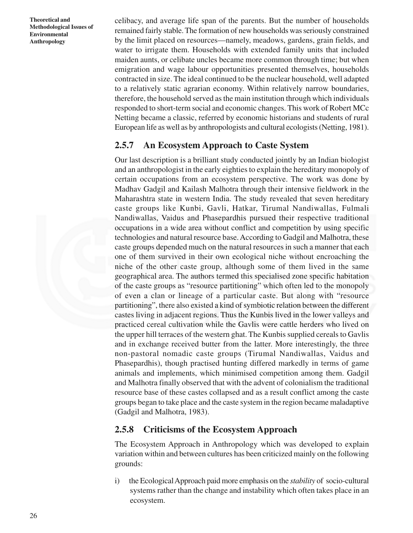celibacy, and average life span of the parents. But the number of households remained fairly stable. The formation of new households was seriously constrained by the limit placed on resources—namely, meadows, gardens, grain fields, and water to irrigate them. Households with extended family units that included maiden aunts, or celibate uncles became more common through time; but when emigration and wage labour opportunities presented themselves, households contracted in size. The ideal continued to be the nuclear household, well adapted to a relatively static agrarian economy. Within relatively narrow boundaries, therefore, the household served as the main institution through which individuals responded to short-term social and economic changes. This work of Robert MCc Netting became a classic, referred by economic historians and students of rural European life as well as by anthropologists and cultural ecologists (Netting, 1981).

### **2.5.7 An Ecosystem Approach to Caste System**

Our last description is a brilliant study conducted jointly by an Indian biologist and an anthropologist in the early eighties to explain the hereditary monopoly of certain occupations from an ecosystem perspective. The work was done by Madhav Gadgil and Kailash Malhotra through their intensive fieldwork in the Maharashtra state in western India. The study revealed that seven hereditary caste groups like Kunbi, Gavli, Hatkar, Tirumal Nandiwallas, Fulmali Nandiwallas, Vaidus and Phasepardhis pursued their respective traditional occupations in a wide area without conflict and competition by using specific technologies and natural resource base. According to Gadgil and Malhotra, these caste groups depended much on the natural resources in such a manner that each one of them survived in their own ecological niche without encroaching the niche of the other caste group, although some of them lived in the same geographical area. The authors termed this specialised zone specific habitation of the caste groups as "resource partitioning" which often led to the monopoly of even a clan or lineage of a particular caste. But along with "resource partitioning", there also existed a kind of symbiotic relation between the different castes living in adjacent regions. Thus the Kunbis lived in the lower valleys and practiced cereal cultivation while the Gavlis were cattle herders who lived on the upper hill terraces of the western ghat. The Kunbis supplied cereals to Gavlis and in exchange received butter from the latter. More interestingly, the three non-pastoral nomadic caste groups (Tirumal Nandiwallas, Vaidus and Phasepardhis), though practised hunting differed markedly in terms of game animals and implements, which minimised competition among them. Gadgil and Malhotra finally observed that with the advent of colonialism the traditional resource base of these castes collapsed and as a result conflict among the caste groups began to take place and the caste system in the region became maladaptive (Gadgil and Malhotra, 1983).

### **2.5.8 Criticisms of the Ecosystem Approach**

The Ecosystem Approach in Anthropology which was developed to explain variation within and between cultures has been criticized mainly on the following grounds:

i) the Ecological Approach paid more emphasis on the *stability* of socio-cultural systems rather than the change and instability which often takes place in an ecosystem.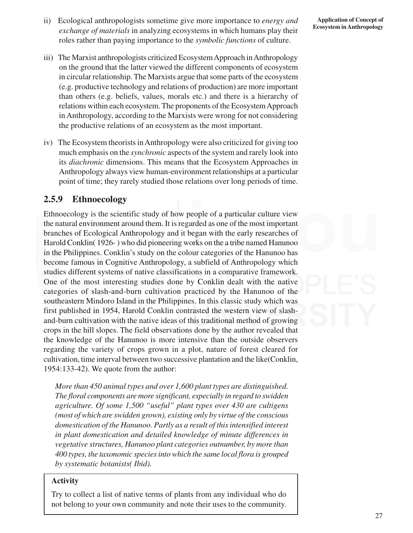- ii) Ecological anthropologists sometime give more importance to *energy and exchange of materials* in analyzing ecosystems in which humans play their roles rather than paying importance to the *symbolic functions* of culture.
- iii) The Marxist anthropologists criticized Ecosystem Approach in Anthropology on the ground that the latter viewed the different components of ecosystem in circular relationship. The Marxists argue that some parts of the ecosystem (e.g. productive technology and relations of production) are more important than others (e.g. beliefs, values, morals etc.) and there is a hierarchy of relations within each ecosystem. The proponents of the Ecosystem Approach in Anthropology, according to the Marxists were wrong for not considering the productive relations of an ecosystem as the most important.
- iv) The Ecosystem theorists in Anthropology were also criticized for giving too much emphasis on the *synchronic* aspects of the system and rarely look into its *diachronic* dimensions. This means that the Ecosystem Approaches in Anthropology always view human-environment relationships at a particular point of time; they rarely studied those relations over long periods of time.

### **2.5.9 Ethnoecology**

Ethnoecology is the scientific study of how people of a particular culture view the natural environment around them. It is regarded as one of the most important branches of Ecological Anthropology and it began with the early researches of Harold Conklin( 1926- ) who did pioneering works on the a tribe named Hanunoo in the Philippines. Conklin's study on the colour categories of the Hanunoo has become famous in Cognitive Anthropology, a subfield of Anthropology which studies different systems of native classifications in a comparative framework. One of the most interesting studies done by Conklin dealt with the native categories of slash-and-burn cultivation practiced by the Hanunoo of the southeastern Mindoro Island in the Philippines. In this classic study which was first published in 1954, Harold Conklin contrasted the western view of slashand-burn cultivation with the native ideas of this traditional method of growing crops in the hill slopes. The field observations done by the author revealed that the knowledge of the Hanunoo is more intensive than the outside observers regarding the variety of crops grown in a plot, nature of forest cleared for cultivation, time interval between two successive plantation and the like(Conklin, 1954:133-42). We quote from the author:

*More than 450 animal types and over 1,600 plant types are distinguished. The floral components are more significant, especially in regard to swidden agriculture. Of some 1,500 "useful" plant types over 430 are cultigens (most of which are swidden grown), existing only by virtue of the conscious domestication of the Hanunoo. Partly as a result of this intensified interest in plant domestication and detailed knowledge of minute differences in vegetative structures, Hanunoo plant categories outnumber, by more than 400 types, the taxonomic species into which the same local flora is grouped by systematic botanists( Ibid).*

#### **Activity**

Try to collect a list of native terms of plants from any individual who do not belong to your own community and note their uses to the community.

27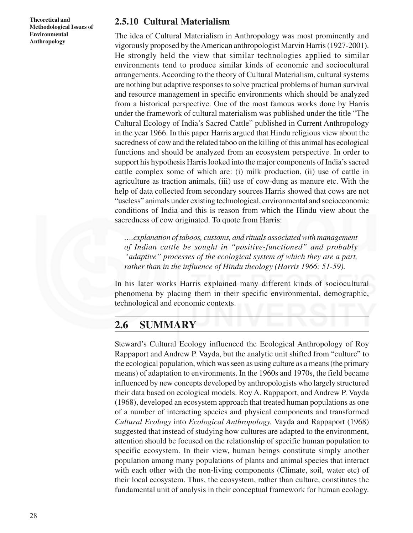### **2.5.10 Cultural Materialism**

The idea of Cultural Materialism in Anthropology was most prominently and vigorously proposed by the American anthropologist Marvin Harris (1927-2001). He strongly held the view that similar technologies applied to similar environments tend to produce similar kinds of economic and sociocultural arrangements. According to the theory of Cultural Materialism, cultural systems are nothing but adaptive responses to solve practical problems of human survival and resource management in specific environments which should be analyzed from a historical perspective. One of the most famous works done by Harris under the framework of cultural materialism was published under the title "The Cultural Ecology of India's Sacred Cattle" published in Current Anthropology in the year 1966. In this paper Harris argued that Hindu religious view about the sacredness of cow and the related taboo on the killing of this animal has ecological functions and should be analyzed from an ecosystem perspective. In order to support his hypothesis Harris looked into the major components of India's sacred cattle complex some of which are: (i) milk production, (ii) use of cattle in agriculture as traction animals, (iii) use of cow-dung as manure etc. With the help of data collected from secondary sources Harris showed that cows are not "useless" animals under existing technological, environmental and socioeconomic conditions of India and this is reason from which the Hindu view about the sacredness of cow originated. To quote from Harris:

*….explanation of taboos, customs, and rituals associated with management of Indian cattle be sought in "positive-functioned" and probably "adaptive" processes of the ecological system of which they are a part, rather than in the influence of Hindu theology (Harris 1966: 51-59).*

In his later works Harris explained many different kinds of sociocultural phenomena by placing them in their specific environmental, demographic, technological and economic contexts.

# **2.6 SUMMARY**

Steward's Cultural Ecology influenced the Ecological Anthropology of Roy Rappaport and Andrew P. Vayda, but the analytic unit shifted from "culture" to the ecological population, which was seen as using culture as a means (the primary means) of adaptation to environments. In the 1960s and 1970s, the field became influenced by new concepts developed by anthropologists who largely structured their data based on ecological models. Roy A. Rappaport, and Andrew P. Vayda (1968), developed an ecosystem approach that treated human populations as one of a number of interacting species and physical components and transformed *Cultural Ecology* into *Ecological Anthropology.* Vayda and Rappaport (1968) suggested that instead of studying how cultures are adapted to the environment, attention should be focused on the relationship of specific human population to specific ecosystem. In their view, human beings constitute simply another population among many populations of plants and animal species that interact with each other with the non-living components (Climate, soil, water etc) of their local ecosystem. Thus, the ecosystem, rather than culture, constitutes the fundamental unit of analysis in their conceptual framework for human ecology.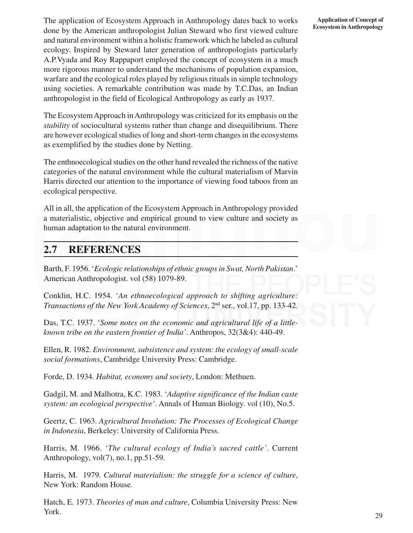The application of Ecosystem Approach in Anthropology dates back to works done by the American anthropologist Julian Steward who first viewed culture and natural environment within a holistic framework which he labeled as cultural ecology. Inspired by Steward later generation of anthropologists particularly A.P.Vyada and Roy Rappaport employed the concept of ecosystem in a much more rigorous manner to understand the mechanisms of population expansion, warfare and the ecological roles played by religious rituals in simple technology using societies. A remarkable contribution was made by T.C.Das, an Indian anthropologist in the field of Ecological Anthropology as early as 1937.

The Ecosystem Approach in Anthropology was criticized for its emphasis on the *stability* of sociocultural systems rather than change and disequilibrium. There are however ecological studies of long and short-term changes in the ecosystems as exemplified by the studies done by Netting.

The enthnoecological studies on the other hand revealed the richness of the native categories of the natural environment while the cultural materialism of Marvin Harris directed our attention to the importance of viewing food taboos from an ecological perspective.

All in all, the application of the Ecosystem Approach in Anthropology provided a materialistic, objective and empirical ground to view culture and society as human adaptation to the natural environment.

# **2.7 REFERENCES**

Barth, F. 1956. '*Ecologic relationships of ethnic groups in Swat, North Pakistan*.' American Anthropologist. vol (58) 1079-89.

Conklin, H.C. 1954. '*An ethnoecological approach to shifting agriculture: Transactions of the New York Academy of Sciences*, 2nd ser., vol.17, pp. 133-42.

Das, T.C. 1937. '*Some notes on the economic and agricultural life of a littleknown tribe on the eastern frontier of India'*. Anthropos, 32(3&4): 440-49.

Ellen, R. 1982. *Environment, subsistence and system: the ecology of small-scale social formations*, Cambridge University Press: Cambridge.

Forde, D. 1934. *Habitat, economy and society*, London: Methuen.

Gadgil, M. and Malhotra, K.C. 1983. '*Adaptive significance of the Indian caste system: an ecological perspective'*. Annals of Human Biology. vol (10), No.5.

Geertz, C. 1963. *Agricultural Involution: The Processes of Ecological Change in Indonesia*, Berkeley: University of California Press.

Harris, M. 1966. '*The cultural ecology of India's sacred cattle'*. Current Anthropology, vol(7), no.1, pp.51-59.

Harris, M. 1979. *Cultural materialism: the struggle for a science of culture*, New York: Random House.

Hatch, E. 1973. *Theories of man and culture*, Columbia University Press: New York.

#### **Application of Concept of Ecosystem in Anthropology**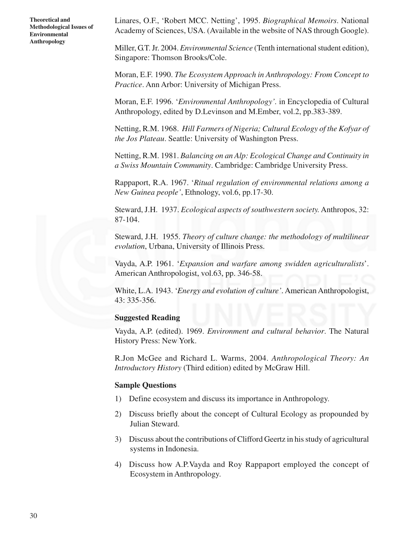Linares, O.F., 'Robert MCC. Netting', 1995. *Biographical Memoirs*. National Academy of Sciences, USA. (Available in the website of NAS through Google).

Miller, G.T. Jr. 2004. *Environmental Science* (Tenth international student edition), Singapore: Thomson Brooks/Cole.

Moran, E.F. 1990. *The Ecosystem Approach in Anthropology: From Concept to Practice*. Ann Arbor: University of Michigan Press.

Moran, E.F. 1996. '*Environmental Anthropology'.* in Encyclopedia of Cultural Anthropology, edited by D.Levinson and M.Ember, vol.2, pp.383-389.

Netting, R.M. 1968. *Hill Farmers of Nigeria; Cultural Ecology of the Kofyar of the Jos Plateau*. Seattle: University of Washington Press.

Netting, R.M. 1981. *Balancing on an Alp: Ecological Change and Continuity in a Swiss Mountain Community*. Cambridge: Cambridge University Press.

Rappaport, R.A. 1967. '*Ritual regulation of environmental relations among a New Guinea people'*, Ethnology, vol.6, pp.17-30.

Steward, J.H. 1937. *Ecological aspects of southwestern society.* Anthropos, 32: 87-104.

Steward, J.H. 1955. *Theory of culture change: the methodology of multilinear evolution*, Urbana, University of Illinois Press.

Vayda, A.P. 1961. '*Expansion and warfare among swidden agriculturalists*'. American Anthropologist, vol.63, pp. 346-58.

White, L.A. 1943. '*Energy and evolution of culture'*. American Anthropologist, 43: 335-356.

#### **Suggested Reading**

Vayda, A.P. (edited). 1969. *Environment and cultural behavior*. The Natural History Press: New York.

R.Jon McGee and Richard L. Warms, 2004. *Anthropological Theory: An Introductory History* (Third edition) edited by McGraw Hill.

#### **Sample Questions**

- 1) Define ecosystem and discuss its importance in Anthropology.
- 2) Discuss briefly about the concept of Cultural Ecology as propounded by Julian Steward.
- 3) Discuss about the contributions of Clifford Geertz in his study of agricultural systems in Indonesia.
- 4) Discuss how A.P.Vayda and Roy Rappaport employed the concept of Ecosystem in Anthropology.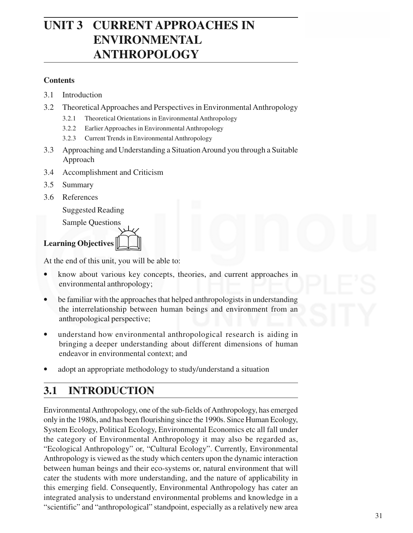# **UNIT 3 CURRENT APPROACHES IN ENVIRONMENTAL ANTHROPOLOGY**

### **Contents**

- 3.1 Introduction
- 3.2 Theoretical Approaches and Perspectives in Environmental Anthropology
	- 3.2.1 Theoretical Orientations in Environmental Anthropology
	- 3.2.2 Earlier Approaches in Environmental Anthropology
	- 3.2.3 Current Trends in Environmental Anthropology
- 3.3 Approaching and Understanding a Situation Around you through a Suitable Approach
- 3.4 Accomplishment and Criticism
- 3.5 Summary
- 3.6 References

Suggested Reading

Sample Questions



At the end of this unit, you will be able to:

- know about various key concepts, theories, and current approaches in environmental anthropology;
- be familiar with the approaches that helped anthropologists in understanding the interrelationship between human beings and environment from an anthropological perspective;
- understand how environmental anthropological research is aiding in bringing a deeper understanding about different dimensions of human endeavor in environmental context; and
- adopt an appropriate methodology to study/understand a situation

# **3.1 INTRODUCTION**

Environmental Anthropology, one of the sub-fields of Anthropology, has emerged only in the 1980s, and has been flourishing since the 1990s. Since Human Ecology, System Ecology, Political Ecology, Environmental Economics etc all fall under the category of Environmental Anthropology it may also be regarded as, "Ecological Anthropology" or, "Cultural Ecology". Currently, Environmental Anthropology is viewed as the study which centers upon the dynamic interaction between human beings and their eco-systems or, natural environment that will cater the students with more understanding, and the nature of applicability in this emerging field. Consequently, Environmental Anthropology has cater an integrated analysis to understand environmental problems and knowledge in a "scientific" and "anthropological" standpoint, especially as a relatively new area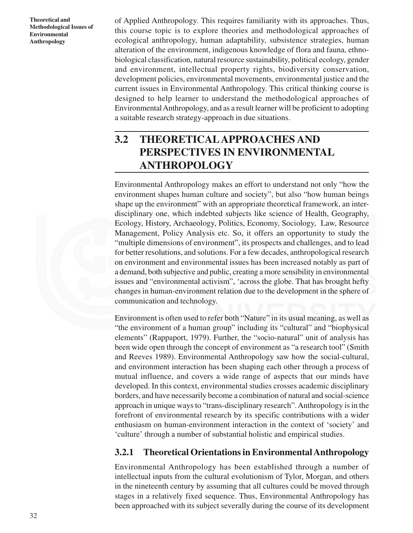of Applied Anthropology. This requires familiarity with its approaches. Thus, this course topic is to explore theories and methodological approaches of ecological anthropology, human adaptability, subsistence strategies, human alteration of the environment, indigenous knowledge of flora and fauna, ethnobiological classification, natural resource sustainability, political ecology, gender and environment, intellectual property rights, biodiversity conservation, development policies, environmental movements, environmental justice and the current issues in Environmental Anthropology. This critical thinking course is designed to help learner to understand the methodological approaches of Environmental Anthropology, and as a result learner will be proficient to adopting a suitable research strategy-approach in due situations.

# **3.2 THEORETICALAPPROACHES AND PERSPECTIVES IN ENVIRONMENTAL ANTHROPOLOGY**

Environmental Anthropology makes an effort to understand not only "how the environment shapes human culture and society", but also "how human beings shape up the environment" with an appropriate theoretical framework, an interdisciplinary one, which indebted subjects like science of Health, Geography, Ecology, History, Archaeology, Politics, Economy, Sociology, Law, Resource Management, Policy Analysis etc. So, it offers an opportunity to study the "multiple dimensions of environment", its prospects and challenges, and to lead for better resolutions, and solutions. For a few decades, anthropological research on environment and environmental issues has been increased notably as part of a demand, both subjective and public, creating a more sensibility in environmental issues and "environmental activism", 'across the globe. That has brought hefty changes in human-environment relation due to the development in the sphere of communication and technology.

Environment is often used to refer both "Nature" in its usual meaning, as well as "the environment of a human group" including its "cultural" and "biophysical elements" (Rappaport, 1979). Further, the "socio-natural" unit of analysis has been wide open through the concept of environment as "a research tool" (Smith and Reeves 1989). Environmental Anthropology saw how the social-cultural, and environment interaction has been shaping each other through a process of mutual influence, and covers a wide range of aspects that our minds have developed. In this context, environmental studies crosses academic disciplinary borders, and have necessarily become a combination of natural and social-science approach in unique ways to "trans-disciplinary research". Anthropology is in the forefront of environmental research by its specific contributions with a wider enthusiasm on human-environment interaction in the context of 'society' and 'culture' through a number of substantial holistic and empirical studies.

# **3.2.1 Theoretical Orientations in Environmental Anthropology**

Environmental Anthropology has been established through a number of intellectual inputs from the cultural evolutionism of Tylor, Morgan, and others in the nineteenth century by assuming that all cultures could be moved through stages in a relatively fixed sequence. Thus, Environmental Anthropology has been approached with its subject severally during the course of its development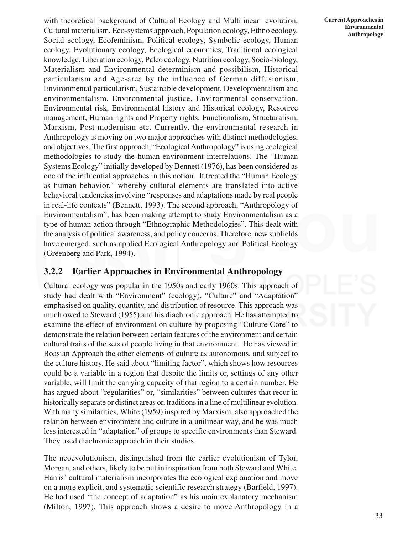with theoretical background of Cultural Ecology and Multilinear evolution, Cultural materialism, Eco-systems approach, Population ecology, Ethno ecology, Social ecology, Ecofeminism, Political ecology, Symbolic ecology, Human ecology, Evolutionary ecology, Ecological economics, Traditional ecological knowledge, Liberation ecology, Paleo ecology, Nutrition ecology, Socio-biology, Materialism and Environmental determinism and possibilism, Historical particularism and Age-area by the influence of German diffusionism, Environmental particularism, Sustainable development, Developmentalism and environmentalism, Environmental justice, Environmental conservation, Environmental risk, Environmental history and Historical ecology, Resource management, Human rights and Property rights, Functionalism, Structuralism, Marxism, Post-modernism etc. Currently, the environmental research in Anthropology is moving on two major approaches with distinct methodologies, and objectives. The first approach, "Ecological Anthropology" is using ecological methodologies to study the human-environment interrelations. The "Human Systems Ecology" initially developed by Bennett (1976), has been considered as one of the influential approaches in this notion. It treated the "Human Ecology as human behavior," whereby cultural elements are translated into active behavioral tendencies involving "responses and adaptations made by real people in real-life contexts" (Bennett, 1993). The second approach, "Anthropology of Environmentalism", has been making attempt to study Environmentalism as a type of human action through "Ethnographic Methodologies". This dealt with the analysis of political awareness, and policy concerns. Therefore, new subfields have emerged, such as applied Ecological Anthropology and Political Ecology (Greenberg and Park, 1994).

### **3.2.2 Earlier Approaches in Environmental Anthropology**

Cultural ecology was popular in the 1950s and early 1960s. This approach of study had dealt with "Environment" (ecology), "Culture" and "Adaptation" emphasised on quality, quantity, and distribution of resource. This approach was much owed to Steward (1955) and his diachronic approach. He has attempted to examine the effect of environment on culture by proposing "Culture Core" to demonstrate the relation between certain features of the environment and certain cultural traits of the sets of people living in that environment. He has viewed in Boasian Approach the other elements of culture as autonomous, and subject to the culture history. He said about "limiting factor", which shows how resources could be a variable in a region that despite the limits or, settings of any other variable, will limit the carrying capacity of that region to a certain number. He has argued about "regularities" or, "similarities" between cultures that recur in historically separate or distinct areas or, traditions in a line of multilinear evolution. With many similarities, White (1959) inspired by Marxism, also approached the relation between environment and culture in a unilinear way, and he was much less interested in "adaptation" of groups to specific environments than Steward. They used diachronic approach in their studies.

The neoevolutionism, distinguished from the earlier evolutionism of Tylor, Morgan, and others, likely to be put in inspiration from both Steward and White. Harris' cultural materialism incorporates the ecological explanation and move on a more explicit, and systematic scientific research strategy (Barfield, 1997). He had used "the concept of adaptation" as his main explanatory mechanism (Milton, 1997). This approach shows a desire to move Anthropology in a

**Current Approaches in Environmental Anthropology**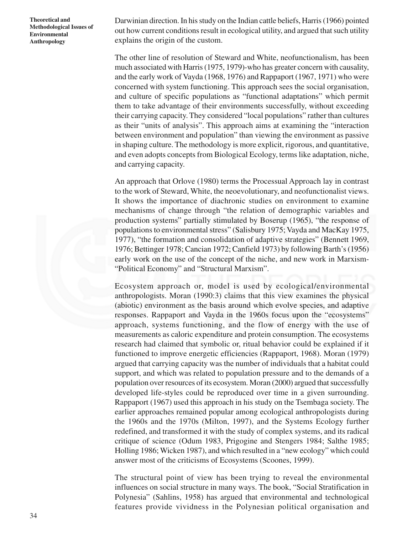Darwinian direction. In his study on the Indian cattle beliefs, Harris (1966) pointed out how current conditions result in ecological utility, and argued that such utility explains the origin of the custom.

The other line of resolution of Steward and White, neofunctionalism, has been much associated with Harris (1975, 1979)-who has greater concern with causality, and the early work of Vayda (1968, 1976) and Rappaport (1967, 1971) who were concerned with system functioning. This approach sees the social organisation, and culture of specific populations as "functional adaptations" which permit them to take advantage of their environments successfully, without exceeding their carrying capacity. They considered "local populations" rather than cultures as their "units of analysis". This approach aims at examining the "interaction between environment and population" than viewing the environment as passive in shaping culture. The methodology is more explicit, rigorous, and quantitative, and even adopts concepts from Biological Ecology, terms like adaptation, niche, and carrying capacity.

An approach that Orlove (1980) terms the Processual Approach lay in contrast to the work of Steward, White, the neoevolutionary, and neofunctionalist views. It shows the importance of diachronic studies on environment to examine mechanisms of change through "the relation of demographic variables and production systems" partially stimulated by Boserup (1965), "the response of populations to environmental stress" (Salisbury 1975; Vayda and MacKay 1975, 1977), "the formation and consolidation of adaptive strategies" (Bennett 1969, 1976; Bettinger 1978; Cancian 1972; Canfield 1973) by following Barth's (1956) early work on the use of the concept of the niche, and new work in Marxism- "Political Economy" and "Structural Marxism".

Ecosystem approach or, model is used by ecological/environmental anthropologists. Moran (1990:3) claims that this view examines the physical (abiotic) environment as the basis around which evolve species, and adaptive responses. Rappaport and Vayda in the 1960s focus upon the "ecosystems" approach, systems functioning, and the flow of energy with the use of measurements as caloric expenditure and protein consumption. The ecosystems research had claimed that symbolic or, ritual behavior could be explained if it functioned to improve energetic efficiencies (Rappaport, 1968). Moran (1979) argued that carrying capacity was the number of individuals that a habitat could support, and which was related to population pressure and to the demands of a population over resources of its ecosystem. Moran (2000) argued that successfully developed life-styles could be reproduced over time in a given surrounding. Rappaport (1967) used this approach in his study on the Tsembaga society. The earlier approaches remained popular among ecological anthropologists during the 1960s and the 1970s (Milton, 1997), and the Systems Ecology further redefined, and transformed it with the study of complex systems, and its radical critique of science (Odum 1983, Prigogine and Stengers 1984; Salthe 1985; Holling 1986; Wicken 1987), and which resulted in a "new ecology" which could answer most of the criticisms of Ecosystems (Scoones, 1999).

The structural point of view has been trying to reveal the environmental influences on social structure in many ways. The book, "Social Stratification in Polynesia" (Sahlins, 1958) has argued that environmental and technological features provide vividness in the Polynesian political organisation and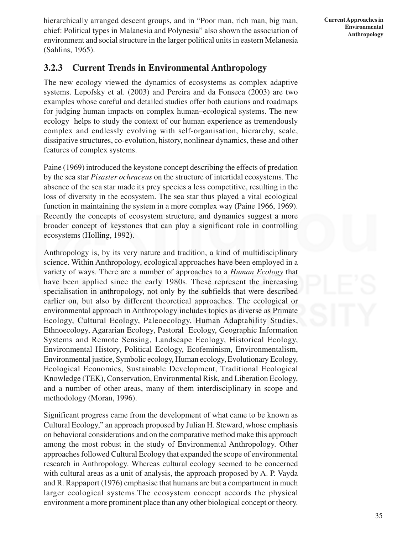hierarchically arranged descent groups, and in "Poor man, rich man, big man, chief: Political types in Malanesia and Polynesia" also shown the association of environment and social structure in the larger political units in eastern Melanesia (Sahlins, 1965).

# **3.2.3 Current Trends in Environmental Anthropology**

The new ecology viewed the dynamics of ecosystems as complex adaptive systems. Lepofsky et al. (2003) and Pereira and da Fonseca (2003) are two examples whose careful and detailed studies offer both cautions and roadmaps for judging human impacts on complex human–ecological systems. The new ecology helps to study the context of our human experience as tremendously complex and endlessly evolving with self-organisation, hierarchy, scale, dissipative structures, co-evolution, history, nonlinear dynamics, these and other features of complex systems.

Paine (1969) introduced the keystone concept describing the effects of predation by the sea star *Pisaster ochraceus* on the structure of intertidal ecosystems. The absence of the sea star made its prey species a less competitive, resulting in the loss of diversity in the ecosystem. The sea star thus played a vital ecological function in maintaining the system in a more complex way (Paine 1966, 1969). Recently the concepts of ecosystem structure, and dynamics suggest a more broader concept of keystones that can play a significant role in controlling ecosystems (Holling, 1992).

Anthropology is, by its very nature and tradition, a kind of multidisciplinary science. Within Anthropology, ecological approaches have been employed in a variety of ways. There are a number of approaches to a *Human Ecology* that have been applied since the early 1980s. These represent the increasing specialisation in anthropology, not only by the subfields that were described earlier on, but also by different theoretical approaches. The ecological or environmental approach in Anthropology includes topics as diverse as Primate Ecology, Cultural Ecology, Paleoecology, Human Adaptability Studies, Ethnoecology, Agararian Ecology, Pastoral Ecology, Geographic Information Systems and Remote Sensing, Landscape Ecology, Historical Ecology, Environmental History, Political Ecology, Ecofeminism, Environmentalism, Environmental justice, Symbolic ecology, Human ecology, Evolutionary Ecology, Ecological Economics, Sustainable Development, Traditional Ecological Knowledge (TEK), Conservation, Environmental Risk, and Liberation Ecology, and a number of other areas, many of them interdisciplinary in scope and methodology (Moran, 1996).

Significant progress came from the development of what came to be known as Cultural Ecology," an approach proposed by Julian H. Steward, whose emphasis on behavioral considerations and on the comparative method make this approach among the most robust in the study of Environmental Anthropology. Other approaches followed Cultural Ecology that expanded the scope of environmental research in Anthropology. Whereas cultural ecology seemed to be concerned with cultural areas as a unit of analysis, the approach proposed by A. P. Vayda and R. Rappaport (1976) emphasise that humans are but a compartment in much larger ecological systems.The ecosystem concept accords the physical environment a more prominent place than any other biological concept or theory.

**Current Approaches in Environmental Anthropology**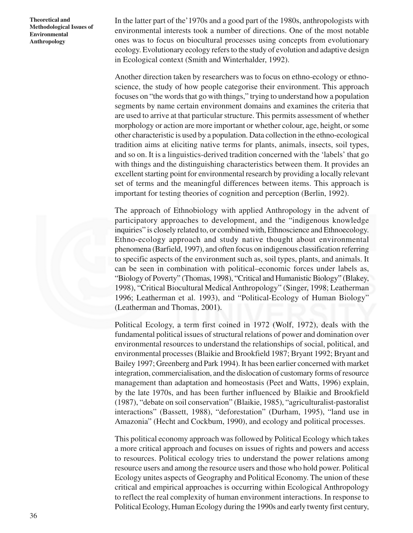In the latter part of the'1970s and a good part of the 1980s, anthropologists with environmental interests took a number of directions. One of the most notable ones was to focus on biocultural processes using concepts from evolutionary ecology. Evolutionary ecology refers to the study of evolution and adaptive design in Ecological context (Smith and Winterhalder, 1992).

Another direction taken by researchers was to focus on ethno-ecology or ethnoscience, the study of how people categorise their environment. This approach focuses on "the words that go with things," trying to understand how a population segments by name certain environment domains and examines the criteria that are used to arrive at that particular structure. This permits assessment of whether morphology or action are more important or whether colour, age, height, or some other characteristic is used by a population. Data collection in the ethno-ecological tradition aims at eliciting native terms for plants, animals, insects, soil types, and so on. It is a linguistics-derived tradition concerned with the 'labels' that go with things and the distinguishing characteristics between them. It provides an excellent starting point for environmental research by providing a locally relevant set of terms and the meaningful differences between items. This approach is important for testing theories of cognition and perception (Berlin, 1992).

The approach of Ethnobiology with applied Anthropology in the advent of participatory approaches to development, and the "indigenous knowledge inquiries" is closely related to, or combined with, Ethnoscience and Ethnoecology. Ethno-ecology approach and study native thought about environmental phenomena (Barfield, 1997), and often focus on indigenous classification referring to specific aspects of the environment such as, soil types, plants, and animals. It can be seen in combination with political–economic forces under labels as, "Biology of Poverty" (Thomas, 1998), "Critical and Humanistic Biology" (Blakey, 1998), "Critical Biocultural Medical Anthropology" (Singer, 1998; Leatherman 1996; Leatherman et al. 1993), and "Political-Ecology of Human Biology" (Leatherman and Thomas, 2001).

Political Ecology, a term first coined in 1972 (Wolf, 1972), deals with the fundamental political issues of structural relations of power and domination over environmental resources to understand the relationships of social, political, and environmental processes (Blaikie and Brookfield 1987; Bryant 1992; Bryant and Bailey 1997; Greenberg and Park 1994). It has been earlier concerned with market integration, commercialisation, and the dislocation of customary forms of resource management than adaptation and homeostasis (Peet and Watts, 1996) explain, by the late 1970s, and has been further influenced by Blaikie and Brookfield (1987), "debate on soil conservation" (Blaikie, 1985), "agriculturalist-pastoralist interactions" (Bassett, 1988), "deforestation" (Durham, 1995), "land use in Amazonia" (Hecht and Cockbum, 1990), and ecology and political processes.

This political economy approach was followed by Political Ecology which takes a more critical approach and focuses on issues of rights and powers and access to resources. Political ecology tries to understand the power relations among resource users and among the resource users and those who hold power. Political Ecology unites aspects of Geography and Political Economy. The union of these critical and empirical approaches is occurring within Ecological Anthropology to reflect the real complexity of human environment interactions. In response to Political Ecology, Human Ecology during the 1990s and early twenty first century,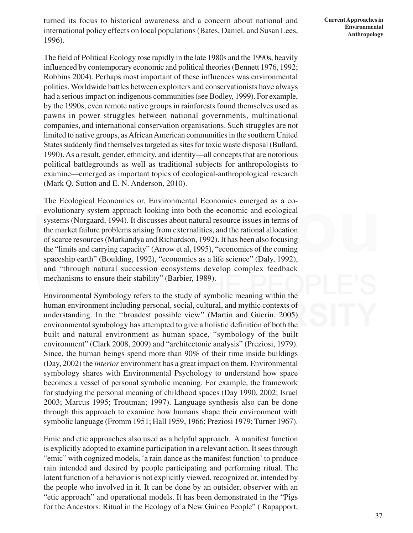turned its focus to historical awareness and a concern about national and international policy effects on local populations (Bates, Daniel. and Susan Lees, 1996).

The field of Political Ecology rose rapidly in the late 1980s and the 1990s, heavily influenced by contemporary economic and political theories (Bennett 1976, 1992; Robbins 2004). Perhaps most important of these influences was environmental politics. Worldwide battles between exploiters and conservationists have always had a serious impact on indigenous communities (see Bodley, 1999). For example, by the 1990s, even remote native groups in rainforests found themselves used as pawns in power struggles between national governments, multinational companies, and international conservation organisations. Such struggles are not limited to native groups, as African American communities in the southern United States suddenly find themselves targeted as sites for toxic waste disposal (Bullard, 1990). As a result, gender, ethnicity, and identity—all concepts that are notorious political battlegrounds as well as traditional subjects for anthropologists to examine—emerged as important topics of ecological-anthropological research (Mark Q. Sutton and E. N. Anderson, 2010).

The Ecological Economics or, Environmental Economics emerged as a coevolutionary system approach looking into both the economic and ecological systems (Norgaard, 1994). It discusses about natural resource issues in terms of the market failure problems arising from externalities, and the rational allocation of scarce resources (Markandya and Richardson, 1992). It has been also focusing the "limits and carrying capacity" (Arrow et al, 1995), "economics of the coming spaceship earth" (Boulding, 1992), "economics as a life science" (Daly, 1992), and "through natural succession ecosystems develop complex feedback mechanisms to ensure their stability" (Barbier, 1989).

Environmental Symbology refers to the study of symbolic meaning within the human environment including personal, social, cultural, and mythic contexts of understanding. In the ''broadest possible view'' (Martin and Guerin, 2005) environmental symbology has attempted to give a holistic definition of both the built and natural environment as human space, "symbology of the built environment" (Clark 2008, 2009) and "architectonic analysis" (Preziosi, 1979). Since, the human beings spend more than 90% of their time inside buildings (Day, 2002) the *interior* environment has a great impact on them. Environmental symbology shares with Environmental Psychology to understand how space becomes a vessel of personal symbolic meaning. For example, the framework for studying the personal meaning of childhood spaces (Day 1990, 2002; Israel 2003; Marcus 1995; Troutman; 1997). Language synthesis also can be done through this approach to examine how humans shape their environment with symbolic language (Fromm 1951; Hall 1959, 1966; Preziosi 1979; Turner 1967).

Emic and etic approaches also used as a helpful approach. A manifest function is explicitly adopted to examine participation in a relevant action. It sees through "emic" with cognized models, 'a rain dance as the manifest function' to produce rain intended and desired by people participating and performing ritual. The latent function of a behavior is not explicitly viewed, recognized or, intended by the people who involved in it. It can be done by an outsider, observer with an "etic approach" and operational models. It has been demonstrated in the "Pigs for the Ancestors: Ritual in the Ecology of a New Guinea People" ( Rapapport,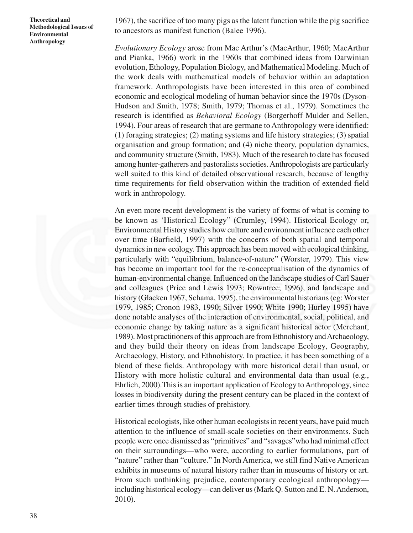1967), the sacrifice of too many pigs as the latent function while the pig sacrifice to ancestors as manifest function (Balee 1996).

*Evolutionary Ecology* arose from Mac Arthur's (MacArthur, 1960; MacArthur and Pianka, 1966) work in the 1960s that combined ideas from Darwinian evolution, Ethology, Population Biology, and Mathematical Modeling. Much of the work deals with mathematical models of behavior within an adaptation framework. Anthropologists have been interested in this area of combined economic and ecological modeling of human behavior since the 1970s (Dyson-Hudson and Smith, 1978; Smith, 1979; Thomas et al., 1979). Sometimes the research is identified as *Behavioral Ecology* (Borgerhoff Mulder and Sellen, 1994). Four areas of research that are germane to Anthropology were identified: (1) foraging strategies; (2) mating systems and life history strategies; (3) spatial organisation and group formation; and (4) niche theory, population dynamics, and community structure (Smith, 1983). Much of the research to date has focused among hunter-gatherers and pastoralists societies. Anthropologists are particularly well suited to this kind of detailed observational research, because of lengthy time requirements for field observation within the tradition of extended field work in anthropology.

An even more recent development is the variety of forms of what is coming to be known as 'Historical Ecology" (Crumley, 1994). Historical Ecology or, Environmental History studies how culture and environment influence each other over time (Barfield, 1997) with the concerns of both spatial and temporal dynamics in new ecology. This approach has been moved with ecological thinking, particularly with "equilibrium, balance-of-nature" (Worster, 1979). This view has become an important tool for the re-conceptualisation of the dynamics of human-environmental change. Influenced on the landscape studies of Carl Sauer and colleagues (Price and Lewis 1993; Rowntree; 1996), and landscape and history (Glacken 1967, Schama, 1995), the environmental historians (eg: Worster 1979, 1985; Cronon 1983, 1990; Silver 1990; White 1990; Hurley 1995) have done notable analyses of the interaction of environmental, social, political, and economic change by taking nature as a significant historical actor (Merchant, 1989). Most practitioners of this approach are from Ethnohistory and Archaeology, and they build their theory on ideas from landscape Ecology, Geography, Archaeology, History, and Ethnohistory. In practice, it has been something of a blend of these fields. Anthropology with more historical detail than usual, or History with more holistic cultural and environmental data than usual (e.g., Ehrlich, 2000).This is an important application of Ecology to Anthropology, since losses in biodiversity during the present century can be placed in the context of earlier times through studies of prehistory.

Historical ecologists, like other human ecologists in recent years, have paid much attention to the influence of small-scale societies on their environments. Such people were once dismissed as "primitives" and "savages"who had minimal effect on their surroundings—who were, according to earlier formulations, part of "nature" rather than "culture." In North America, we still find Native American exhibits in museums of natural history rather than in museums of history or art. From such unthinking prejudice, contemporary ecological anthropology including historical ecology—can deliver us (Mark Q. Sutton and E. N. Anderson, 2010).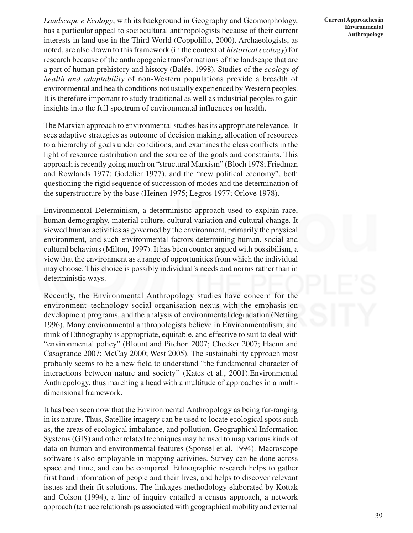*Landscape e Ecology*, with its background in Geography and Geomorphology, has a particular appeal to sociocultural anthropologists because of their current interests in land use in the Third World (Coppolillo, 2000). Archaeologists, as noted, are also drawn to this framework (in the context of *historical ecology*) for research because of the anthropogenic transformations of the landscape that are a part of human prehistory and history (Balée, 1998). Studies of the *ecology of health and adaptability* of non-Western populations provide a breadth of environmental and health conditions not usually experienced by Western peoples. It is therefore important to study traditional as well as industrial peoples to gain insights into the full spectrum of environmental influences on health.

The Marxian approach to environmental studies has its appropriate relevance. It sees adaptive strategies as outcome of decision making, allocation of resources to a hierarchy of goals under conditions, and examines the class conflicts in the light of resource distribution and the source of the goals and constraints. This approach is recently going much on "structural Marxism" (Bloch 1978; Friedman and Rowlands 1977; Godelier 1977), and the "new political economy", both questioning the rigid sequence of succession of modes and the determination of the superstructure by the base (Heinen 1975; Legros 1977; Orlove 1978).

Environmental Determinism, a deterministic approach used to explain race, human demography, material culture, cultural variation and cultural change. It viewed human activities as governed by the environment, primarily the physical environment, and such environmental factors determining human, social and cultural behaviors (Milton, 1997). It has been counter argued with possibilism, a view that the environment as a range of opportunities from which the individual may choose. This choice is possibly individual's needs and norms rather than in deterministic ways.

Recently, the Environmental Anthropology studies have concern for the environment–technology-social-organisation nexus with the emphasis on development programs, and the analysis of environmental degradation (Netting 1996). Many environmental anthropologists believe in Environmentalism, and think of Ethnography is appropriate, equitable, and effective to suit to deal with "environmental policy" (Blount and Pitchon 2007; Checker 2007; Haenn and Casagrande 2007; McCay 2000; West 2005). The sustainability approach most probably seems to be a new field to understand "the fundamental character of interactions between nature and society'' (Kates et al., 2001).Environmental Anthropology, thus marching a head with a multitude of approaches in a multidimensional framework.

It has been seen now that the Environmental Anthropology as being far-ranging in its nature. Thus, Satellite imagery can be used to locate ecological spots such as, the areas of ecological imbalance, and pollution. Geographical Information Systems (GIS) and other related techniques may be used to map various kinds of data on human and environmental features (Sponsel et al. 1994). Macroscope software is also employable in mapping activities. Survey can be done across space and time, and can be compared. Ethnographic research helps to gather first hand information of people and their lives, and helps to discover relevant issues and their fit solutions. The linkages methodology elaborated by Kottak and Colson (1994), a line of inquiry entailed a census approach, a network approach (to trace relationships associated with geographical mobility and external **Current Approaches in Environmental Anthropology**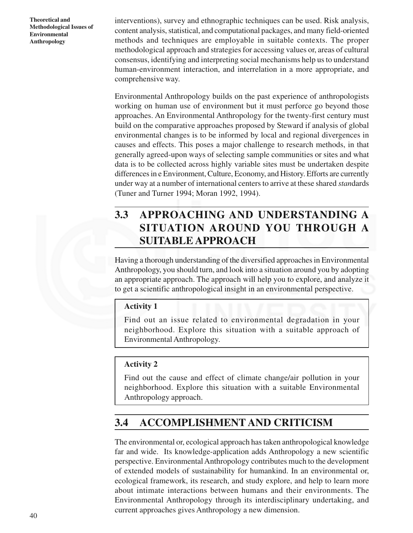interventions), survey and ethnographic techniques can be used. Risk analysis, content analysis, statistical, and computational packages, and many field-oriented methods and techniques are employable in suitable contexts. The proper methodological approach and strategies for accessing values or, areas of cultural consensus, identifying and interpreting social mechanisms help us to understand human-environment interaction, and interrelation in a more appropriate, and comprehensive way.

Environmental Anthropology builds on the past experience of anthropologists working on human use of environment but it must perforce go beyond those approaches. An Environmental Anthropology for the twenty-first century must build on the comparative approaches proposed by Steward if analysis of global environmental changes is to be informed by local and regional divergences in causes and effects. This poses a major challenge to research methods, in that generally agreed-upon ways of selecting sample communities or sites and what data is to be collected across highly variable sites must be undertaken despite differences in e Environment, Culture, Economy, and History. Efforts are currently under way at a number of international centers to arrive at these shared *stan*dards (Tuner and Turner 1994; Moran 1992, 1994).

# **3.3 APPROACHING AND UNDERSTANDING A SITUATION AROUND YOU THROUGH A SUITABLE APPROACH**

Having a thorough understanding of the diversified approaches in Environmental Anthropology, you should turn, and look into a situation around you by adopting an appropriate approach. The approach will help you to explore, and analyze it to get a scientific anthropological insight in an environmental perspective.

### **Activity 1**

Find out an issue related to environmental degradation in your neighborhood. Explore this situation with a suitable approach of Environmental Anthropology.

### **Activity 2**

Find out the cause and effect of climate change/air pollution in your neighborhood. Explore this situation with a suitable Environmental Anthropology approach.

# **3.4 ACCOMPLISHMENT AND CRITICISM**

The environmental or, ecological approach has taken anthropological knowledge far and wide. Its knowledge-application adds Anthropology a new scientific perspective. Environmental Anthropology contributes much to the development of extended models of sustainability for humankind. In an environmental or, ecological framework, its research, and study explore, and help to learn more about intimate interactions between humans and their environments. The Environmental Anthropology through its interdisciplinary undertaking, and current approaches gives Anthropology a new dimension.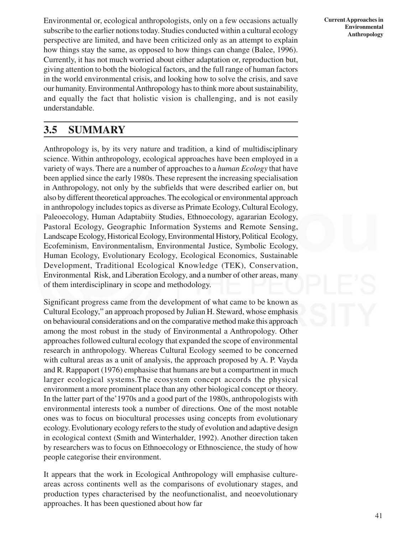Environmental or, ecological anthropologists, only on a few occasions actually subscribe to the earlier notions today. Studies conducted within a cultural ecology perspective are limited, and have been criticized only as an attempt to explain how things stay the same, as opposed to how things can change (Balee, 1996). Currently, it has not much worried about either adaptation or, reproduction but, giving attention to both the biological factors, and the full range of human factors in the world environmental crisis, and looking how to solve the crisis, and save our humanity. Environmental Anthropology has to think more about sustainability, and equally the fact that holistic vision is challenging, and is not easily understandable.

# **3.5 SUMMARY**

Anthropology is, by its very nature and tradition, a kind of multidisciplinary science. Within anthropology, ecological approaches have been employed in a variety of ways. There are a number of approaches to a *human Ecology* that have been applied since the early 1980s. These represent the increasing specialisation in Anthropology, not only by the subfields that were described earlier on, but also by different theoretical approaches. The ecological or environmental approach in anthropology includes topics as diverse as Primate Ecology, Cultural Ecology, Paleoecology, Human Adaptabiity Studies, Ethnoecology, agararian Ecology, Pastoral Ecology, Geographic Information Systems and Remote Sensing, Landscape Ecology, Historical Ecology, Environmental History, Political Ecology, Ecofeminism, Environmentalism, Environmental Justice, Symbolic Ecology, Human Ecology, Evolutionary Ecology, Ecological Economics, Sustainable Development, Traditional Ecological Knowledge (TEK), Conservation, Environmental Risk, and Liberation Ecology, and a number of other areas, many of them interdisciplinary in scope and methodology.

Significant progress came from the development of what came to be known as Cultural Ecology," an approach proposed by Julian H. Steward, whose emphasis on behavioural considerations and on the comparative method make this approach among the most robust in the study of Environmental a Anthropology. Other approaches followed cultural ecology that expanded the scope of environmental research in anthropology. Whereas Cultural Ecology seemed to be concerned with cultural areas as a unit of analysis, the approach proposed by A. P. Vayda and R. Rappaport (1976) emphasise that humans are but a compartment in much larger ecological systems.The ecosystem concept accords the physical environment a more prominent place than any other biological concept or theory. In the latter part of the'1970s and a good part of the 1980s, anthropologists with environmental interests took a number of directions. One of the most notable ones was to focus on biocultural processes using concepts from evolutionary ecology. Evolutionary ecology refers to the study of evolution and adaptive design in ecological context (Smith and Winterhalder, 1992). Another direction taken by researchers was to focus on Ethnoecology or Ethnoscience, the study of how people categorise their environment.

It appears that the work in Ecological Anthropology will emphasise cultureareas across continents well as the comparisons of evolutionary stages, and production types characterised by the neofunctionalist, and neoevolutionary approaches. It has been questioned about how far

**Current Approaches in Environmental Anthropology**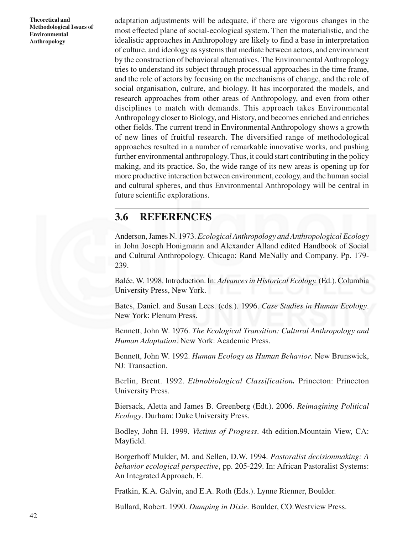adaptation adjustments will be adequate, if there are vigorous changes in the most effected plane of social-ecological system. Then the materialistic, and the idealistic approaches in Anthropology are likely to find a base in interpretation of culture, and ideology as systems that mediate between actors, and environment by the construction of behavioral alternatives. The Environmental Anthropology tries to understand its subject through processual approaches in the time frame, and the role of actors by focusing on the mechanisms of change, and the role of social organisation, culture, and biology. It has incorporated the models, and research approaches from other areas of Anthropology, and even from other disciplines to match with demands. This approach takes Environmental Anthropology closer to Biology, and History, and becomes enriched and enriches other fields. The current trend in Environmental Anthropology shows a growth of new lines of fruitful research. The diversified range of methodological approaches resulted in a number of remarkable innovative works, and pushing further environmental anthropology. Thus, it could start contributing in the policy making, and its practice. So, the wide range of its new areas is opening up for more productive interaction between environment, ecology, and the human social and cultural spheres, and thus Environmental Anthropology will be central in future scientific explorations.

# **3.6 REFERENCES**

Anderson, James N. 1973. *Ecological Anthropology and Anthropological Ecology* in John Joseph Honigmann and Alexander Alland edited Handbook of Social and Cultural Anthropology. Chicago: Rand MeNally and Company. Pp. 179- 239.

Balée, W. 1998. Introduction. In: *Advances in Historical Ecology.* (Ed.). Columbia University Press, New York.

Bates, Daniel. and Susan Lees. (eds.). 1996. *Case Studies in Human Ecology*. New York: Plenum Press.

Bennett, John W. 1976. *The Ecological Transition: Cultural Anthropology and Human Adaptation*. New York: Academic Press.

Bennett, John W. 1992. *Human Ecology as Human Behavior*. New Brunswick, NJ: Transaction.

Berlin, Brent. 1992. *Etbnobiological Classification.* Princeton: Princeton University Press.

Biersack, Aletta and James B. Greenberg (Edt.). 2006. *Reimagining Political Ecology*. Durham: Duke University Press.

Bodley, John H. 1999. *Victims of Progress*. 4th edition.Mountain View, CA: Mayfield.

Borgerhoff Mulder, M. and Sellen, D.W. 1994. *Pastoralist decisionmaking: A behavior ecological perspective*, pp. 205-229. In: African Pastoralist Systems: An Integrated Approach, E.

Fratkin, K.A. Galvin, and E.A. Roth (Eds.). Lynne Rienner, Boulder.

Bullard, Robert. 1990. *Dumping in Dixie*. Boulder, CO:Westview Press.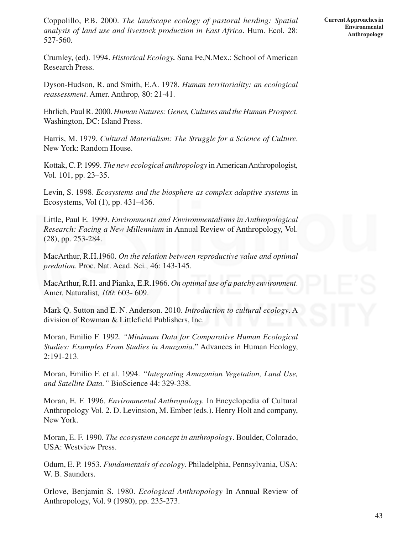Coppolillo, P.B. 2000. *The landscape ecology of pastoral herding: Spatial analysis of land use and livestock production in East Africa*. Hum. Ecol*.* 28: 527-560.

Crumley, (ed). 1994. *Historical Ecology.* Sana Fe,N.Mex.: School of American Research Press.

Dyson-Hudson, R. and Smith, E.A. 1978. *Human territoriality: an ecological reassessment*. Amer. Anthrop*,* 80: 21-41.

Ehrlich, Paul R. 2000. *Human Natures: Genes, Cultures and the Human Prospect*. Washington, DC: Island Press.

Harris, M. 1979. *Cultural Materialism: The Struggle for a Science of Culture*. New York: Random House.

Kottak, C. P. 1999. *The new ecological anthropology* in American Anthropologist*,* Vol. 101, pp. 23–35.

Levin, S. 1998. *Ecosystems and the biosphere as complex adaptive systems* in Ecosystems, Vol (1), pp. 431–436.

Little, Paul E. 1999. *Environments and Environmentalisms in Anthropological Research: Facing a New Millennium* in Annual Review of Anthropology, Vol. (28), pp. 253-284.

MacArthur, R.H.1960. *On the relation between reproductive value and optimal predation*. Proc. Nat. Acad. Sci*.,* 46: 143-145.

MacArthur, R.H. and Pianka, E.R.1966. *On optimal use of a patchy environment*. Amer. Naturalist*, 100*: 603- 609.

Mark Q. Sutton and E. N. Anderson. 2010. *Introduction to cultural ecology*. A division of Rowman & Littlefield Publishers, Inc.

Moran, Emilio F. 1992. *"Minimum Data for Comparative Human Ecological Studies: Examples From Studies in Amazonia*." Advances in Human Ecology, 2:191-213.

Moran, Emilio F. et al. 1994. *"Integrating Amazonian Vegetation, Land Use, and Satellite Data."* BioScience 44: 329-338.

Moran, E. F. 1996. *Environmental Anthropology.* In Encyclopedia of Cultural Anthropology Vol. 2. D. Levinsion, M. Ember (eds.). Henry Holt and company, New York.

Moran, E. F. 1990. *The ecosystem concept in anthropology*. Boulder, Colorado, USA: Westview Press.

Odum, E. P. 1953. *Fundamentals of ecology*. Philadelphia, Pennsylvania, USA: W. B. Saunders.

Orlove, Benjamin S. 1980. *Ecological Anthropology* In Annual Review of Anthropology, Vol. 9 (1980), pp. 235-273.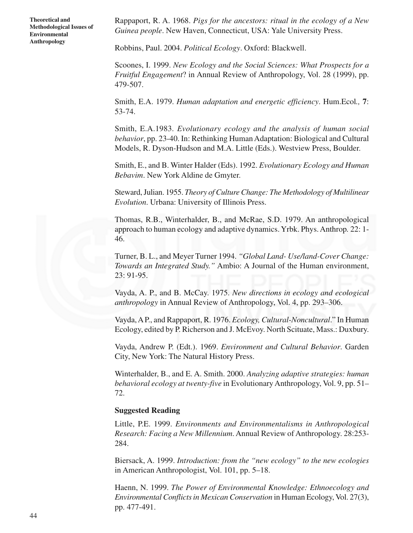Rappaport, R. A. 1968. *Pigs for the ancestors: ritual in the ecology of a New Guinea people*. New Haven, Connecticut, USA: Yale University Press.

Robbins, Paul. 2004. *Political Ecology*. Oxford: Blackwell.

Scoones, I. 1999. *New Ecology and the Social Sciences: What Prospects for a Fruitful Engagement*? in Annual Review of Anthropology, Vol. 28 (1999), pp. 479-507.

Smith, E.A. 1979. *Human adaptation and energetic efficiency*. Hum.Ecol*.,* **7**: 53-74.

Smith, E.A.1983. *Evolutionary ecology and the analysis of human social behavior*, pp. 23-40. In: Rethinking Human Adaptation: Biological and Cultural Models, R. Dyson-Hudson and M.A. Little (Eds.). Westview Press, Boulder.

Smith, E., and B. Winter Halder (Eds). 1992. *Evolutionary Ecology and Human Bebavim*. New York Aldine de Gmyter.

Steward, Julian. 1955. *Theory of Culture Change: The Methodology of Multilinear Evolution*. Urbana: University of Illinois Press.

Thomas, R.B., Winterhalder, B., and McRae, S.D. 1979. An anthropological approach to human ecology and adaptive dynamics. Yrbk. Phys. Anthrop*.* 22: 1- 46.

Turner, B. L., and Meyer Turner 1994. *"Global Land- Use/land-Cover Change: Towards an Integrated Study."* Ambio: A Journal of the Human environment, 23: 91-95.

Vayda, A. P., and B. McCay. 1975. *New directions in ecology and ecological anthropology* in Annual Review of Anthropology, Vol. 4, pp. 293–306.

Vayda, A P., and Rappaport, R. 1976. *Ecology, Cultural-Noncultural*." In Human Ecology, edited by P. Richerson and J. McEvoy. North Scituate, Mass.: Duxbury.

Vayda, Andrew P. (Edt.). 1969. *Environment and Cultural Behavior*. Garden City, New York: The Natural History Press.

Winterhalder, B., and E. A. Smith. 2000. *Analyzing adaptive strategies: human behavioral ecology at twenty-five* in Evolutionary Anthropology, Vol. 9, pp. 51– 72.

#### **Suggested Reading**

Little, P.E. 1999. *Environments and Environmentalisms in Anthropological Research: Facing a New Millennium*. Annual Review of Anthropology. 28:253- 284.

Biersack, A. 1999. *Introduction: from the "new ecology" to the new ecologies* in American Anthropologist, Vol. 101, pp. 5–18.

Haenn, N. 1999. *The Power of Environmental Knowledge: Ethnoecology and Environmental Conflicts in Mexican Conservation* in Human Ecology, Vol. 27(3), pp. 477-491.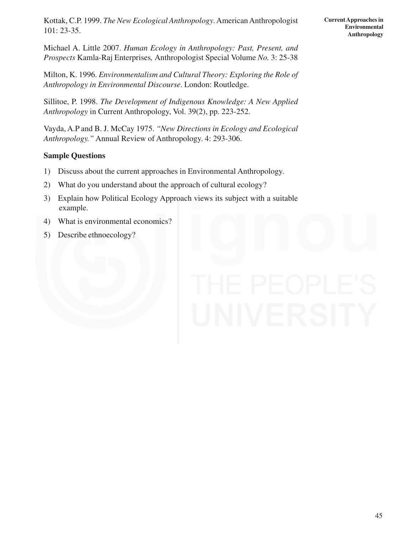Kottak, C.P. 1999. *The New Ecological Anthropology*. American Anthropologist 101: 23-35.

Michael A. Little 2007. *Human Ecology in Anthropology: Past, Present, and Prospects* Kamla-Raj Enterprises*,* Anthropologist Special Volume *No.* 3: 25-38

Milton, K. 1996. *Environmentalism and Cultural Theory: Exploring the Role of Anthropology in Environmental Discourse*. London: Routledge.

Sillitoe, P. 1998. *The Development of Indigenous Knowledge: A New Applied Anthropology* in Current Anthropology, Vol. 39(2), pp. 223-252.

Vayda, A.P and B. J. McCay 1975. *"New Directions in Ecology and Ecological Anthropology."* Annual Review of Anthropology. 4: 293-306.

### **Sample Questions**

- 1) Discuss about the current approaches in Environmental Anthropology.
- 2) What do you understand about the approach of cultural ecology?
- 3) Explain how Political Ecology Approach views its subject with a suitable example.
- 4) What is environmental economics?
- 5) Describe ethnoecology?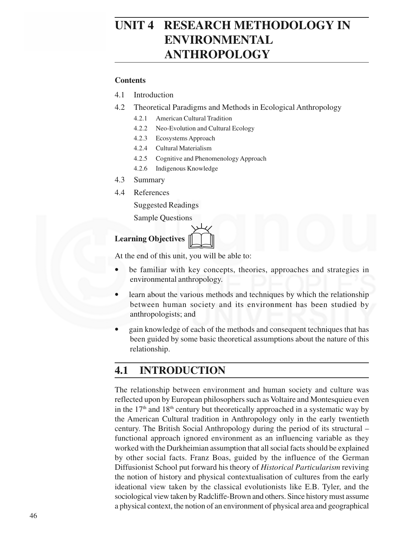# **UNIT 4 RESEARCH METHODOLOGY IN ENVIRONMENTAL ANTHROPOLOGY**

#### **Contents**

- 4.1 Introduction
- 4.2 Theoretical Paradigms and Methods in Ecological Anthropology
	- 4.2.1 American Cultural Tradition
	- 4.2.2 Neo-Evolution and Cultural Ecology
	- 4.2.3 Ecosystems Approach
	- 4.2.4 Cultural Materialism
	- 4.2.5 Cognitive and Phenomenology Approach
	- 4.2.6 Indigenous Knowledge
- 4.3 Summary
- 4.4 References

Suggested Readings

Sample Questions

# **Learning Objectives** &

At the end of this unit, you will be able to:

- be familiar with key concepts, theories, approaches and strategies in environmental anthropology.
- learn about the various methods and techniques by which the relationship between human society and its environment has been studied by anthropologists; and
- gain knowledge of each of the methods and consequent techniques that has been guided by some basic theoretical assumptions about the nature of this relationship.

# **4.1 INTRODUCTION**

The relationship between environment and human society and culture was reflected upon by European philosophers such as Voltaire and Montesquieu even in the  $17<sup>th</sup>$  and  $18<sup>th</sup>$  century but theoretically approached in a systematic way by the American Cultural tradition in Anthropology only in the early twentieth century. The British Social Anthropology during the period of its structural – functional approach ignored environment as an influencing variable as they worked with the Durkheimian assumption that all social facts should be explained by other social facts. Franz Boas, guided by the influence of the German Diffusionist School put forward his theory of *Historical Particularism* reviving the notion of history and physical contextualisation of cultures from the early ideational view taken by the classical evolutionists like E.B. Tyler, and the sociological view taken by Radcliffe-Brown and others. Since history must assume a physical context, the notion of an environment of physical area and geographical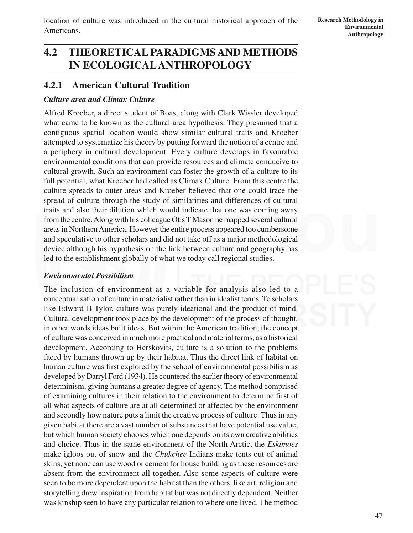location of culture was introduced in the cultural historical approach of the Americans.

47

# **4.2 THEORETICAL PARADIGMS AND METHODS IN ECOLOGICALANTHROPOLOGY**

## **4.2.1 American Cultural Tradition**

#### *Culture area and Climax Culture*

Alfred Kroeber, a direct student of Boas, along with Clark Wissler developed what came to be known as the cultural area hypothesis. They presumed that a contiguous spatial location would show similar cultural traits and Kroeber attempted to systematize his theory by putting forward the notion of a centre and a periphery in cultural development. Every culture develops in favourable environmental conditions that can provide resources and climate conducive to cultural growth. Such an environment can foster the growth of a culture to its full potential, what Kroeber had called as Climax Culture. From this centre the culture spreads to outer areas and Kroeber believed that one could trace the spread of culture through the study of similarities and differences of cultural traits and also their dilution which would indicate that one was coming away from the centre. Along with his colleague Otis T Mason he mapped several cultural areas in Northern America. However the entire process appeared too cumbersome and speculative to other scholars and did not take off as a major methodological device although his hypothesis on the link between culture and geography has led to the establishment globally of what we today call regional studies.

### *Environmental Possibilism*

The inclusion of environment as a variable for analysis also led to a conceptualisation of culture in materialist rather than in idealist terms. To scholars like Edward B Tylor, culture was purely ideational and the product of mind. Cultural development took place by the development of the process of thought, in other words ideas built ideas. But within the American tradition, the concept of culture was conceived in much more practical and material terms, as a historical development. According to Herskovits, culture is a solution to the problems faced by humans thrown up by their habitat. Thus the direct link of habitat on human culture was first explored by the school of environmental possibilism as developed by Darryl Ford (1934). He countered the earlier theory of environmental determinism, giving humans a greater degree of agency. The method comprised of examining cultures in their relation to the environment to determine first of all what aspects of culture are at all determined or affected by the environment and secondly how nature puts a limit the creative process of culture. Thus in any given habitat there are a vast number of substances that have potential use value, but which human society chooses which one depends on its own creative abilities and choice. Thus in the same environment of the North Arctic, the *Eskimoes* make igloos out of snow and the *Chukchee* Indians make tents out of animal skins, yet none can use wood or cement for house building as these resources are absent from the environment all together. Also some aspects of culture were seen to be more dependent upon the habitat than the others, like art, religion and storytelling drew inspiration from habitat but was not directly dependent. Neither was kinship seen to have any particular relation to where one lived. The method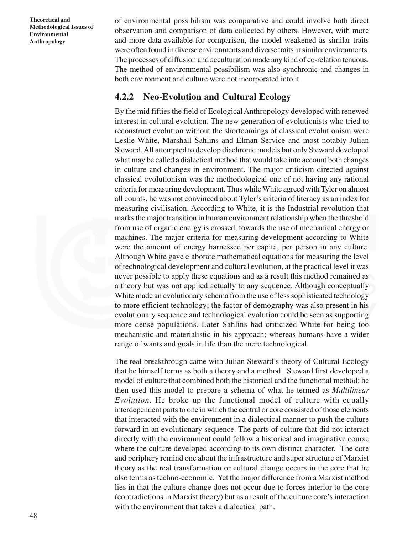of environmental possibilism was comparative and could involve both direct observation and comparison of data collected by others. However, with more and more data available for comparison, the model weakened as similar traits were often found in diverse environments and diverse traits in similar environments. The processes of diffusion and acculturation made any kind of co-relation tenuous. The method of environmental possibilism was also synchronic and changes in both environment and culture were not incorporated into it.

### **4.2.2 Neo-Evolution and Cultural Ecology**

By the mid fifties the field of Ecological Anthropology developed with renewed interest in cultural evolution. The new generation of evolutionists who tried to reconstruct evolution without the shortcomings of classical evolutionism were Leslie White, Marshall Sahlins and Elman Service and most notably Julian Steward. All attempted to develop diachronic models but only Steward developed what may be called a dialectical method that would take into account both changes in culture and changes in environment. The major criticism directed against classical evolutionism was the methodological one of not having any rational criteria for measuring development. Thus while White agreed with Tyler on almost all counts, he was not convinced about Tyler's criteria of literacy as an index for measuring civilisation. According to White, it is the Industrial revolution that marks the major transition in human environment relationship when the threshold from use of organic energy is crossed, towards the use of mechanical energy or machines. The major criteria for measuring development according to White were the amount of energy harnessed per capita, per person in any culture. Although White gave elaborate mathematical equations for measuring the level of technological development and cultural evolution, at the practical level it was never possible to apply these equations and as a result this method remained as a theory but was not applied actually to any sequence. Although conceptually White made an evolutionary schema from the use of less sophisticated technology to more efficient technology; the factor of demography was also present in his evolutionary sequence and technological evolution could be seen as supporting more dense populations. Later Sahlins had criticized White for being too mechanistic and materialistic in his approach; whereas humans have a wider range of wants and goals in life than the mere technological.

The real breakthrough came with Julian Steward's theory of Cultural Ecology that he himself terms as both a theory and a method. Steward first developed a model of culture that combined both the historical and the functional method; he then used this model to prepare a schema of what he termed as *Multilinear Evolution*. He broke up the functional model of culture with equally interdependent parts to one in which the central or core consisted of those elements that interacted with the environment in a dialectical manner to push the culture forward in an evolutionary sequence. The parts of culture that did not interact directly with the environment could follow a historical and imaginative course where the culture developed according to its own distinct character. The core and periphery remind one about the infrastructure and super structure of Marxist theory as the real transformation or cultural change occurs in the core that he also terms as techno-economic. Yet the major difference from a Marxist method lies in that the culture change does not occur due to forces interior to the core (contradictions in Marxist theory) but as a result of the culture core's interaction with the environment that takes a dialectical path.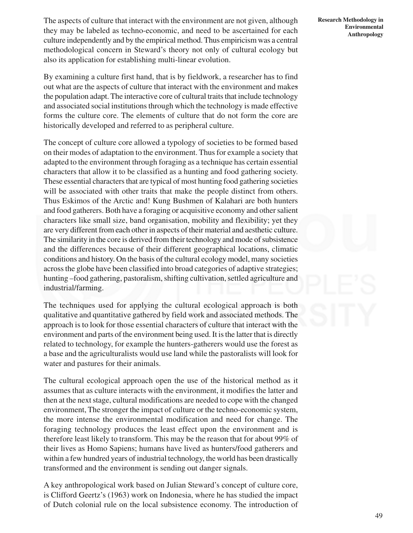The aspects of culture that interact with the environment are not given, although they may be labeled as techno-economic, and need to be ascertained for each culture independently and by the empirical method. Thus empiricism was a central methodological concern in Steward's theory not only of cultural ecology but also its application for establishing multi-linear evolution.

By examining a culture first hand, that is by fieldwork, a researcher has to find out what are the aspects of culture that interact with the environment and makes the population adapt. The interactive core of cultural traits that include technology and associated social institutions through which the technology is made effective forms the culture core. The elements of culture that do not form the core are historically developed and referred to as peripheral culture.

The concept of culture core allowed a typology of societies to be formed based on their modes of adaptation to the environment. Thus for example a society that adapted to the environment through foraging as a technique has certain essential characters that allow it to be classified as a hunting and food gathering society. These essential characters that are typical of most hunting food gathering societies will be associated with other traits that make the people distinct from others. Thus Eskimos of the Arctic and! Kung Bushmen of Kalahari are both hunters and food gatherers. Both have a foraging or acquisitive economy and other salient characters like small size, band organisation, mobility and flexibility; yet they are very different from each other in aspects of their material and aesthetic culture. The similarity in the core is derived from their technology and mode of subsistence and the differences because of their different geographical locations, climatic conditions and history. On the basis of the cultural ecology model, many societies across the globe have been classified into broad categories of adaptive strategies; hunting –food gathering, pastoralism, shifting cultivation, settled agriculture and industrial/farming.

The techniques used for applying the cultural ecological approach is both qualitative and quantitative gathered by field work and associated methods. The approach is to look for those essential characters of culture that interact with the environment and parts of the environment being used. It is the latter that is directly related to technology, for example the hunters-gatherers would use the forest as a base and the agriculturalists would use land while the pastoralists will look for water and pastures for their animals.

The cultural ecological approach open the use of the historical method as it assumes that as culture interacts with the environment, it modifies the latter and then at the next stage, cultural modifications are needed to cope with the changed environment, The stronger the impact of culture or the techno-economic system, the more intense the environmental modification and need for change. The foraging technology produces the least effect upon the environment and is therefore least likely to transform. This may be the reason that for about 99% of their lives as Homo Sapiens; humans have lived as hunters/food gatherers and within a few hundred years of industrial technology, the world has been drastically transformed and the environment is sending out danger signals.

A key anthropological work based on Julian Steward's concept of culture core, is Clifford Geertz's (1963) work on Indonesia, where he has studied the impact of Dutch colonial rule on the local subsistence economy. The introduction of **Research Methodology in Environmental Anthropology**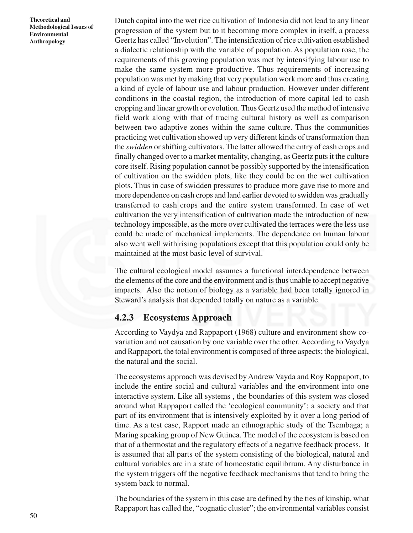Dutch capital into the wet rice cultivation of Indonesia did not lead to any linear progression of the system but to it becoming more complex in itself, a process Geertz has called "Involution". The intensification of rice cultivation established a dialectic relationship with the variable of population. As population rose, the requirements of this growing population was met by intensifying labour use to make the same system more productive. Thus requirements of increasing population was met by making that very population work more and thus creating a kind of cycle of labour use and labour production. However under different conditions in the coastal region, the introduction of more capital led to cash cropping and linear growth or evolution. Thus Geertz used the method of intensive field work along with that of tracing cultural history as well as comparison between two adaptive zones within the same culture. Thus the communities practicing wet cultivation showed up very different kinds of transformation than the *swidden* or shifting cultivators. The latter allowed the entry of cash crops and finally changed over to a market mentality, changing, as Geertz puts it the culture core itself. Rising population cannot be possibly supported by the intensification of cultivation on the swidden plots, like they could be on the wet cultivation plots. Thus in case of swidden pressures to produce more gave rise to more and more dependence on cash crops and land earlier devoted to swidden was gradually transferred to cash crops and the entire system transformed. In case of wet cultivation the very intensification of cultivation made the introduction of new technology impossible, as the more over cultivated the terraces were the less use could be made of mechanical implements. The dependence on human labour also went well with rising populations except that this population could only be maintained at the most basic level of survival.

The cultural ecological model assumes a functional interdependence between the elements of the core and the environment and is thus unable to accept negative impacts. Also the notion of biology as a variable had been totally ignored in Steward's analysis that depended totally on nature as a variable.

### **4.2.3 Ecosystems Approach**

According to Vaydya and Rappaport (1968) culture and environment show covariation and not causation by one variable over the other. According to Vaydya and Rappaport, the total environment is composed of three aspects; the biological, the natural and the social.

The ecosystems approach was devised by Andrew Vayda and Roy Rappaport, to include the entire social and cultural variables and the environment into one interactive system. Like all systems , the boundaries of this system was closed around what Rappaport called the 'ecological community'; a society and that part of its environment that is intensively exploited by it over a long period of time. As a test case, Rapport made an ethnographic study of the Tsembaga; a Maring speaking group of New Guinea. The model of the ecosystem is based on that of a thermostat and the regulatory effects of a negative feedback process. It is assumed that all parts of the system consisting of the biological, natural and cultural variables are in a state of homeostatic equilibrium. Any disturbance in the system triggers off the negative feedback mechanisms that tend to bring the system back to normal.

The boundaries of the system in this case are defined by the ties of kinship, what Rappaport has called the, "cognatic cluster"; the environmental variables consist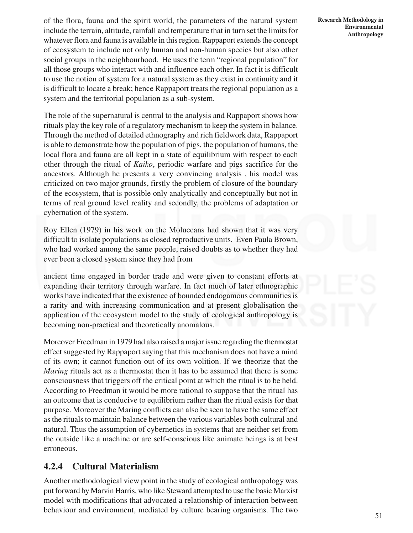of the flora, fauna and the spirit world, the parameters of the natural system include the terrain, altitude, rainfall and temperature that in turn set the limits for whatever flora and fauna is available in this region. Rappaport extends the concept of ecosystem to include not only human and non-human species but also other social groups in the neighbourhood. He uses the term "regional population" for all those groups who interact with and influence each other. In fact it is difficult to use the notion of system for a natural system as they exist in continuity and it is difficult to locate a break; hence Rappaport treats the regional population as a system and the territorial population as a sub-system.

The role of the supernatural is central to the analysis and Rappaport shows how rituals play the key role of a regulatory mechanism to keep the system in balance. Through the method of detailed ethnography and rich fieldwork data, Rappaport is able to demonstrate how the population of pigs, the population of humans, the local flora and fauna are all kept in a state of equilibrium with respect to each other through the ritual of *Kaiko*, periodic warfare and pigs sacrifice for the ancestors. Although he presents a very convincing analysis , his model was criticized on two major grounds, firstly the problem of closure of the boundary of the ecosystem, that is possible only analytically and conceptually but not in terms of real ground level reality and secondly, the problems of adaptation or cybernation of the system.

Roy Ellen (1979) in his work on the Moluccans had shown that it was very difficult to isolate populations as closed reproductive units. Even Paula Brown, who had worked among the same people, raised doubts as to whether they had ever been a closed system since they had from

ancient time engaged in border trade and were given to constant efforts at expanding their territory through warfare. In fact much of later ethnographic works have indicated that the existence of bounded endogamous communities is a rarity and with increasing communication and at present globalisation the application of the ecosystem model to the study of ecological anthropology is becoming non-practical and theoretically anomalous.

Moreover Freedman in 1979 had also raised a major issue regarding the thermostat effect suggested by Rappaport saying that this mechanism does not have a mind of its own; it cannot function out of its own volition. If we theorize that the *Maring* rituals act as a thermostat then it has to be assumed that there is some consciousness that triggers off the critical point at which the ritual is to be held. According to Freedman it would be more rational to suppose that the ritual has an outcome that is conducive to equilibrium rather than the ritual exists for that purpose. Moreover the Maring conflicts can also be seen to have the same effect as the rituals to maintain balance between the various variables both cultural and natural. Thus the assumption of cybernetics in systems that are neither set from the outside like a machine or are self-conscious like animate beings is at best erroneous.

# **4.2.4 Cultural Materialism**

Another methodological view point in the study of ecological anthropology was put forward by Marvin Harris, who like Steward attempted to use the basic Marxist model with modifications that advocated a relationship of interaction between behaviour and environment, mediated by culture bearing organisms. The two

**Research Methodology in Environmental Anthropology**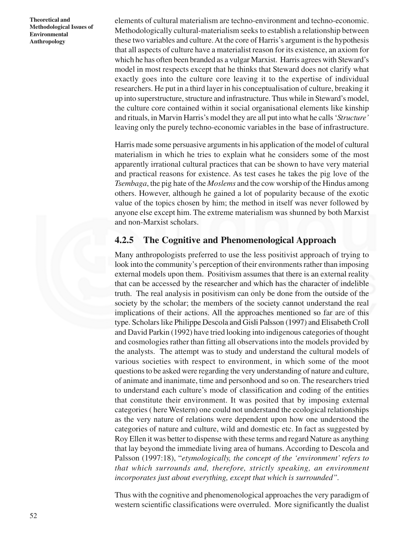elements of cultural materialism are techno-environment and techno-economic. Methodologically cultural-materialism seeks to establish a relationship between these two variables and culture. At the core of Harris's argument is the hypothesis that all aspects of culture have a materialist reason for its existence, an axiom for which he has often been branded as a vulgar Marxist. Harris agrees with Steward's model in most respects except that he thinks that Steward does not clarify what exactly goes into the culture core leaving it to the expertise of individual researchers. He put in a third layer in his conceptualisation of culture, breaking it up into superstructure, structure and infrastructure. Thus while in Steward's model, the culture core contained within it social organisational elements like kinship and rituals, in Marvin Harris's model they are all put into what he calls '*Structure'* leaving only the purely techno-economic variables in the base of infrastructure.

Harris made some persuasive arguments in his application of the model of cultural materialism in which he tries to explain what he considers some of the most apparently irrational cultural practices that can be shown to have very material and practical reasons for existence. As test cases he takes the pig love of the *Tsembaga*, the pig hate of the *Moslems* and the cow worship of the Hindus among others. However, although he gained a lot of popularity because of the exotic value of the topics chosen by him; the method in itself was never followed by anyone else except him. The extreme materialism was shunned by both Marxist and non-Marxist scholars.

### **4.2.5 The Cognitive and Phenomenological Approach**

Many anthropologists preferred to use the less positivist approach of trying to look into the community's perception of their environments rather than imposing external models upon them. Positivism assumes that there is an external reality that can be accessed by the researcher and which has the character of indelible truth. The real analysis in positivism can only be done from the outside of the society by the scholar; the members of the society cannot understand the real implications of their actions. All the approaches mentioned so far are of this type. Scholars like Philippe Descola and Gisli Palsson (1997) and Elisabeth Croll and David Parkin (1992) have tried looking into indigenous categories of thought and cosmologies rather than fitting all observations into the models provided by the analysts. The attempt was to study and understand the cultural models of various societies with respect to environment, in which some of the moot questions to be asked were regarding the very understanding of nature and culture, of animate and inanimate, time and personhood and so on. The researchers tried to understand each culture's mode of classification and coding of the entities that constitute their environment. It was posited that by imposing external categories ( here Western) one could not understand the ecological relationships as the very nature of relations were dependent upon how one understood the categories of nature and culture, wild and domestic etc. In fact as suggested by Roy Ellen it was better to dispense with these terms and regard Nature as anything that lay beyond the immediate living area of humans. According to Descola and Palsson (1997:18), "*etymologically, the concept of the 'environment' refers to that which surrounds and, therefore, strictly speaking, an environment incorporates just about everything, except that which is surrounded".*

Thus with the cognitive and phenomenological approaches the very paradigm of western scientific classifications were overruled. More significantly the dualist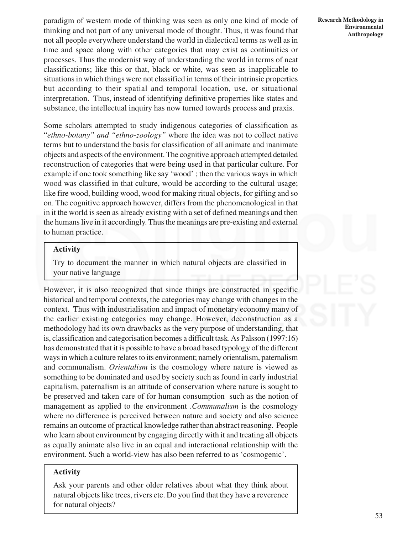paradigm of western mode of thinking was seen as only one kind of mode of thinking and not part of any universal mode of thought. Thus, it was found that not all people everywhere understand the world in dialectical terms as well as in time and space along with other categories that may exist as continuities or processes. Thus the modernist way of understanding the world in terms of neat classifications; like this or that, black or white, was seen as inapplicable to situations in which things were not classified in terms of their intrinsic properties but according to their spatial and temporal location, use, or situational interpretation. Thus, instead of identifying definitive properties like states and substance, the intellectual inquiry has now turned towards process and praxis.

Some scholars attempted to study indigenous categories of classification as "*ethno-botany" and "ethno-zoology"* where the idea was not to collect native terms but to understand the basis for classification of all animate and inanimate objects and aspects of the environment. The cognitive approach attempted detailed reconstruction of categories that were being used in that particular culture. For example if one took something like say 'wood' ; then the various ways in which wood was classified in that culture, would be according to the cultural usage; like fire wood, building wood, wood for making ritual objects, for gifting and so on. The cognitive approach however, differs from the phenomenological in that in it the world is seen as already existing with a set of defined meanings and then the humans live in it accordingly. Thus the meanings are pre-existing and external to human practice.

#### **Activity**

Try to document the manner in which natural objects are classified in your native language

However, it is also recognized that since things are constructed in specific historical and temporal contexts, the categories may change with changes in the context. Thus with industrialisation and impact of monetary economy many of the earlier existing categories may change. However, deconstruction as a methodology had its own drawbacks as the very purpose of understanding, that is, classification and categorisation becomes a difficult task. As Palsson (1997:16) has demonstrated that it is possible to have a broad based typology of the different ways in which a culture relates to its environment; namely orientalism, paternalism and communalism. *Orientalism* is the cosmology where nature is viewed as something to be dominated and used by society such as found in early industrial capitalism, paternalism is an attitude of conservation where nature is sought to be preserved and taken care of for human consumption such as the notion of management as applied to the environment .*Communalism* is the cosmology where no difference is perceived between nature and society and also science remains an outcome of practical knowledge rather than abstract reasoning. People who learn about environment by engaging directly with it and treating all objects as equally animate also live in an equal and interactional relationship with the environment. Such a world-view has also been referred to as 'cosmogenic'.

#### **Activity**

Ask your parents and other older relatives about what they think about natural objects like trees, rivers etc. Do you find that they have a reverence for natural objects?

**Research Methodology in Environmental Anthropology**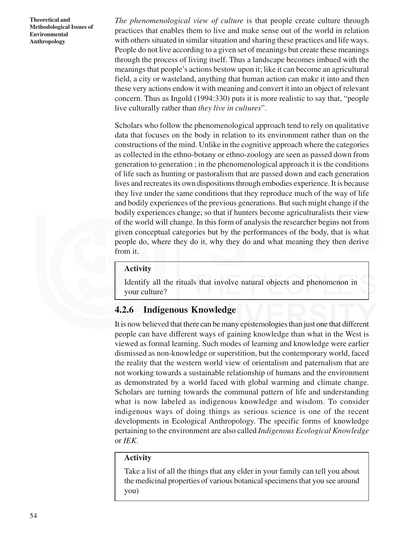*The phenomenological view of culture* is that people create culture through practices that enables them to live and make sense out of the world in relation with others situated in similar situation and sharing these practices and life ways. People do not live according to a given set of meanings but create these meanings through the process of living itself. Thus a landscape becomes imbued with the meanings that people's actions bestow upon it; like it can become an agricultural field, a city or wasteland, anything that human action can make it into and then these very actions endow it with meaning and convert it into an object of relevant concern. Thus as Ingold (1994:330) puts it is more realistic to say that, "people live culturally rather than *they live in cultures*".

Scholars who follow the phenomenological approach tend to rely on qualitative data that focuses on the body in relation to its environment rather than on the constructions of the mind. Unlike in the cognitive approach where the categories as collected in the ethno-botany or ethno-zoology are seen as passed down from generation to generation ; in the phenomenological approach it is the conditions of life such as hunting or pastoralism that are passed down and each generation lives and recreates its own dispositions through embodies experience. It is because they live under the same conditions that they reproduce much of the way of life and bodily experiences of the previous generations. But such might change if the bodily experiences change; so that if hunters become agriculturalists their view of the world will change. In this form of analysis the researcher begins not from given conceptual categories but by the performances of the body, that is what people do, where they do it, why they do and what meaning they then derive from it.

#### **Activity**

Identify all the rituals that involve natural objects and phenomenon in your culture?

# **4.2.6 Indigenous Knowledge**

It is now believed that there can be many epistemologies than just one that different people can have different ways of gaining knowledge than what in the West is viewed as formal learning. Such modes of learning and knowledge were earlier dismissed as non-knowledge or superstition, but the contemporary world, faced the reality that the western world view of orientalism and paternalism that are not working towards a sustainable relationship of humans and the environment as demonstrated by a world faced with global warming and climate change. Scholars are turning towards the communal pattern of life and understanding what is now labeled as indigenous knowledge and wisdom. To consider indigenous ways of doing things as serious science is one of the recent developments in Ecological Anthropology. The specific forms of knowledge pertaining to the environment are also called *Indigenous Ecological Knowledge* or *IEK*.

#### **Activity**

Take a list of all the things that any elder in your family can tell you about the medicinal properties of various botanical specimens that you see around you)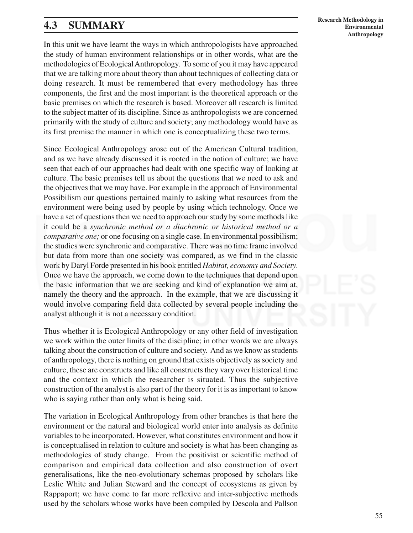# **4.3 SUMMARY**

In this unit we have learnt the ways in which anthropologists have approached the study of human environment relationships or in other words, what are the methodologies of Ecological Anthropology. To some of you it may have appeared that we are talking more about theory than about techniques of collecting data or doing research. It must be remembered that every methodology has three components, the first and the most important is the theoretical approach or the basic premises on which the research is based. Moreover all research is limited to the subject matter of its discipline. Since as anthropologists we are concerned primarily with the study of culture and society; any methodology would have as its first premise the manner in which one is conceptualizing these two terms.

Since Ecological Anthropology arose out of the American Cultural tradition, and as we have already discussed it is rooted in the notion of culture; we have seen that each of our approaches had dealt with one specific way of looking at culture. The basic premises tell us about the questions that we need to ask and the objectives that we may have. For example in the approach of Environmental Possibilism our questions pertained mainly to asking what resources from the environment were being used by people by using which technology. Once we have a set of questions then we need to approach our study by some methods like it could be a *synchronic method or a diachronic or historical method or a comparative one;* or one focusing on a single case. In environmental possibilism; the studies were synchronic and comparative. There was no time frame involved but data from more than one society was compared, as we find in the classic work by Daryl Forde presented in his book entitled *Habitat, economy and Society*. Once we have the approach, we come down to the techniques that depend upon the basic information that we are seeking and kind of explanation we aim at, namely the theory and the approach. In the example, that we are discussing it would involve comparing field data collected by several people including the analyst although it is not a necessary condition.

Thus whether it is Ecological Anthropology or any other field of investigation we work within the outer limits of the discipline; in other words we are always talking about the construction of culture and society. And as we know as students of anthropology, there is nothing on ground that exists objectively as society and culture, these are constructs and like all constructs they vary over historical time and the context in which the researcher is situated. Thus the subjective construction of the analyst is also part of the theory for it is as important to know who is saying rather than only what is being said.

The variation in Ecological Anthropology from other branches is that here the environment or the natural and biological world enter into analysis as definite variables to be incorporated. However, what constitutes environment and how it is conceptualised in relation to culture and society is what has been changing as methodologies of study change. From the positivist or scientific method of comparison and empirical data collection and also construction of overt generalisations, like the neo-evolutionary schemas proposed by scholars like Leslie White and Julian Steward and the concept of ecosystems as given by Rappaport; we have come to far more reflexive and inter-subjective methods used by the scholars whose works have been compiled by Descola and Pallson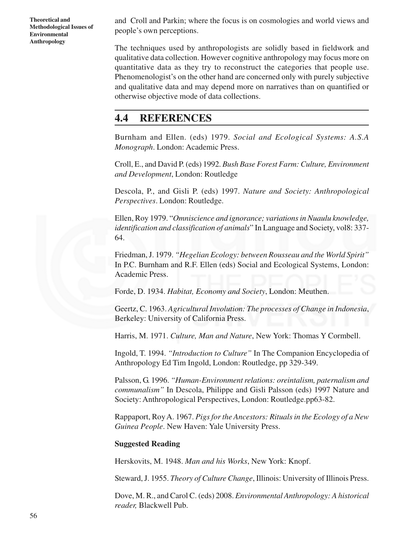and Croll and Parkin; where the focus is on cosmologies and world views and people's own perceptions.

The techniques used by anthropologists are solidly based in fieldwork and qualitative data collection. However cognitive anthropology may focus more on quantitative data as they try to reconstruct the categories that people use. Phenomenologist's on the other hand are concerned only with purely subjective and qualitative data and may depend more on narratives than on quantified or otherwise objective mode of data collections.

# **4.4 REFERENCES**

Burnham and Ellen. (eds) 1979. *Social and Ecological Systems: A.S.A Monograph*. London: Academic Press.

Croll, E., and David P. (eds) 1992. *Bush Base Forest Farm: Culture, Environment and Development*, London: Routledge

Descola, P., and Gisli P. (eds) 1997. *Nature and Society: Anthropological Perspectives*. London: Routledge.

Ellen, Roy 1979. "*Omniscience and ignorance; variations in Nuaulu knowledge, identification and classification of animals*" In Language and Society, vol8: 337- 64.

Friedman, J. 1979. *"Hegelian Ecology: between Rousseau and the World Spirit"* In P.C. Burnham and R.F. Ellen (eds) Social and Ecological Systems, London: Academic Press.

Forde, D. 1934. *Habitat, Economy and Society*, London: Meuthen.

Geertz, C. 1963. *Agricultural Involution: The processes of Change in Indonesia*, Berkeley: University of California Press.

Harris, M. 1971. *Culture, Man and Nature*, New York: Thomas Y Cormbell.

Ingold, T. 1994. *"Introduction to Culture"* In The Companion Encyclopedia of Anthropology Ed Tim Ingold, London: Routledge, pp 329-349.

Palsson, G. 1996. *"Human-Environment relations: oreintalism, paternalism and communalism"* In Descola, Philippe and Gisli Palsson (eds) 1997 Nature and Society: Anthropological Perspectives, London: Routledge.pp63-82.

Rappaport, Roy A. 1967. *Pigs for the Ancestors: Rituals in the Ecology of a New Guinea People*. New Haven: Yale University Press.

#### **Suggested Reading**

Herskovits, M. 1948. *Man and his Works*, New York: Knopf.

Steward, J. 1955. *Theory of Culture Change*, Illinois: University of Illinois Press.

Dove, M. R., and Carol C. (eds) 2008. *Environmental Anthropology: A historical reader,* Blackwell Pub.